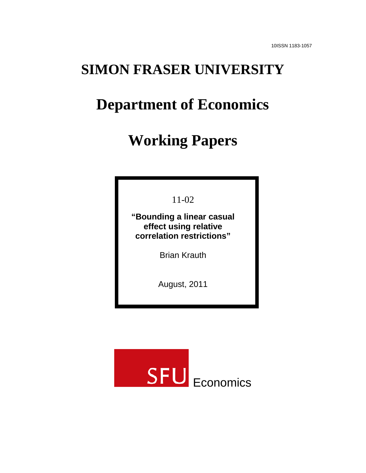## **SIMON FRASER UNIVERSITY**

# **Department of Economics**

# **Working Papers**

11-02

**"Bounding a linear casual effect using relative correlation restrictions"**

Brian Krauth

August, 2011

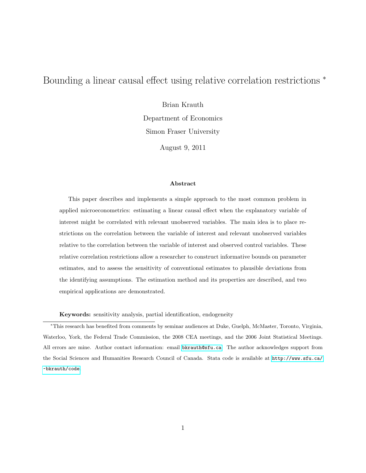## <span id="page-1-0"></span>Bounding a linear causal effect using relative correlation restrictions  $*$

Brian Krauth

Department of Economics Simon Fraser University

August 9, 2011

#### Abstract

This paper describes and implements a simple approach to the most common problem in applied microeconometrics: estimating a linear causal effect when the explanatory variable of interest might be correlated with relevant unobserved variables. The main idea is to place restrictions on the correlation between the variable of interest and relevant unobserved variables relative to the correlation between the variable of interest and observed control variables. These relative correlation restrictions allow a researcher to construct informative bounds on parameter estimates, and to assess the sensitivity of conventional estimates to plausible deviations from the identifying assumptions. The estimation method and its properties are described, and two empirical applications are demonstrated.

Keywords: sensitivity analysis, partial identification, endogeneity

<sup>∗</sup>This research has benefited from comments by seminar audiences at Duke, Guelph, McMaster, Toronto, Virginia, Waterloo, York, the Federal Trade Commission, the 2008 CEA meetings, and the 2006 Joint Statistical Meetings. All errors are mine. Author contact information: email <bkrauth@sfu.ca>. The author acknowledges support from the Social Sciences and Humanities Research Council of Canada. Stata code is available at [http://www.sfu.ca/](http://www.sfu.ca/~bkrauth/code) [~bkrauth/code](http://www.sfu.ca/~bkrauth/code).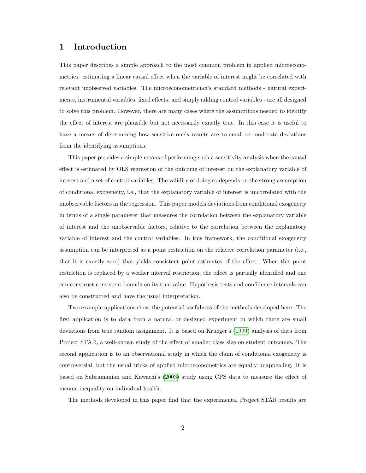## 1 Introduction

This paper describes a simple approach to the most common problem in applied microeconometrics: estimating a linear causal effect when the variable of interest might be correlated with relevant unobserved variables. The microeconometrician's standard methods - natural experiments, instrumental variables, fixed effects, and simply adding control variables - are all designed to solve this problem. However, there are many cases where the assumptions needed to identify the effect of interest are plausible but not necessarily exactly true. In this case it is useful to have a means of determining how sensitive one's results are to small or moderate deviations from the identifying assumptions.

This paper provides a simple means of performing such a sensitivity analysis when the causal effect is estimated by OLS regression of the outcome of interest on the explanatory variable of interest and a set of control variables. The validity of doing so depends on the strong assumption of conditional exogeneity, i.e., that the explanatory variable of interest is uncorrelated with the unobservable factors in the regression. This paper models deviations from conditional exogeneity in terms of a single parameter that measures the correlation between the explanatory variable of interest and the unobservable factors, relative to the correlation between the explanatory variable of interest and the control variables. In this framework, the conditional exogeneity assumption can be interpreted as a point restriction on the relative correlation parameter (i.e., that it is exactly zero) that yields consistent point estimates of the effect. When this point restriction is replaced by a weaker interval restriction, the effect is partially identified and one can construct consistent bounds on its true value. Hypothesis tests and confidence intervals can also be constructed and have the usual interpretation.

Two example applications show the potential usefulness of the methods developed here. The first application is to data from a natural or designed experiment in which there are small deviations from true random assignment. It is based on Krueger's [\(1999\)](#page-30-0) analysis of data from Project STAR, a well-known study of the effect of smaller class size on student outcomes. The second application is to an observational study in which the claim of conditional exogeneity is controversial, but the usual tricks of applied microeconometrics are equally unappealing. It is based on Subramanian and Kawachi's [\(2003\)](#page-31-0) study using CPS data to measure the effect of income inequality on individual health.

The methods developed in this paper find that the experimental Project STAR results are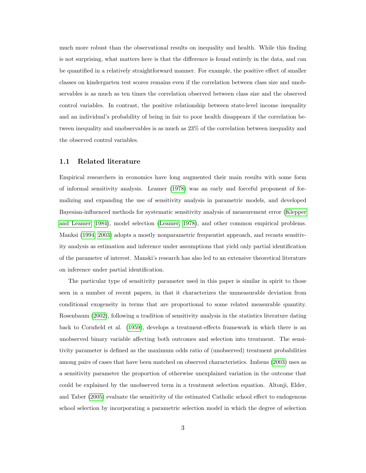much more robust than the observational results on inequality and health. While this finding is not surprising, what matters here is that the difference is found entirely in the data, and can be quantified in a relatively straightforward manner. For example, the positive effect of smaller classes on kindergarten test scores remains even if the correlation between class size and unobservables is as much as ten times the correlation observed between class size and the observed control variables. In contrast, the positive relationship between state-level income inequality and an individual's probability of being in fair to poor health disappears if the correlation between inequality and unobservables is as much as 23% of the correlation between inequality and the observed control variables.

#### 1.1 Related literature

Empirical researchers in economics have long augmented their main results with some form of informal sensitivity analysis. Leamer [\(1978\)](#page-30-1) was an early and forceful proponent of formalizing and expanding the use of sensitivity analysis in parametric models, and developed Bayesian-influenced methods for systematic sensitivity analysis of measurement error [\(Klepper](#page-30-2) [and Leamer, 1984\)](#page-30-2), model selection [\(Leamer, 1978\)](#page-30-1), and other common empirical problems. Manksi [\(1994;](#page-30-3) [2003\)](#page-31-1) adopts a mostly nonparametric frequentist approach, and recasts sensitivity analysis as estimation and inference under assumptions that yield only partial identification of the parameter of interest. Manski's research has also led to an extensive theoretical literature on inference under partial identification.

The particular type of sensitivity parameter used in this paper is similar in spirit to those seen in a number of recent papers, in that it characterizes the unmeasurable deviation from conditional exogeneity in terms that are proportional to some related measurable quantity. Rosenbaum [\(2002\)](#page-31-2), following a tradition of sensitivity analysis in the statistics literature dating back to Cornfield et al. [\(1959\)](#page-29-0), develops a treatment-effects framework in which there is an unobserved binary variable affecting both outcomes and selection into treatment. The sensitivity parameter is defined as the maximum odds ratio of (unobserved) treatment probabilities among pairs of cases that have been matched on observed characteristics. Imbens [\(2003\)](#page-30-4) uses as a sensitivity parameter the proportion of otherwise unexplained variation in the outcome that could be explained by the unobserved term in a treatment selection equation. Altonji, Elder, and Taber [\(2005\)](#page-29-1) evaluate the sensitivity of the estimated Catholic school effect to endogenous school selection by incorporating a parametric selection model in which the degree of selection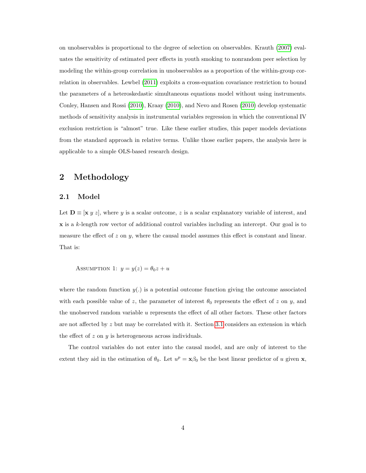on unobservables is proportional to the degree of selection on observables. Krauth [\(2007\)](#page-30-5) evaluates the sensitivity of estimated peer effects in youth smoking to nonrandom peer selection by modeling the within-group correlation in unobservables as a proportion of the within-group correlation in observables. Lewbel [\(2011\)](#page-30-6) exploits a cross-equation covariance restriction to bound the parameters of a heteroskedastic simultaneous equations model without using instruments. Conley, Hansen and Rossi [\(2010\)](#page-29-2), Kraay [\(2010\)](#page-30-7), and Nevo and Rosen [\(2010\)](#page-31-3) develop systematic methods of sensitivity analysis in instrumental variables regression in which the conventional IV exclusion restriction is "almost" true. Like these earlier studies, this paper models deviations from the standard approach in relative terms. Unlike those earlier papers, the analysis here is applicable to a simple OLS-based research design.

## <span id="page-4-0"></span>2 Methodology

#### <span id="page-4-1"></span>2.1 Model

Let  $\mathbf{D} \equiv [\mathbf{x} \ y \ z]$ , where y is a scalar outcome, z is a scalar explanatory variable of interest, and x is a k-length row vector of additional control variables including an intercept. Our goal is to measure the effect of  $z$  on  $y$ , where the causal model assumes this effect is constant and linear. That is:

ASSUMPTION 1:  $y = y(z) = \theta_0 z + u$ 

where the random function  $y(.)$  is a potential outcome function giving the outcome associated with each possible value of z, the parameter of interest  $\theta_0$  represents the effect of z on y, and the unobserved random variable  $u$  represents the effect of all other factors. These other factors are not affected by  $z$  but may be correlated with it. Section [3.1](#page-15-0) considers an extension in which the effect of  $z$  on  $y$  is heterogeneous across individuals.

The control variables do not enter into the causal model, and are only of interest to the extent they aid in the estimation of  $\theta_0$ . Let  $u^p = \mathbf{x}\beta_0$  be the best linear predictor of u given **x**,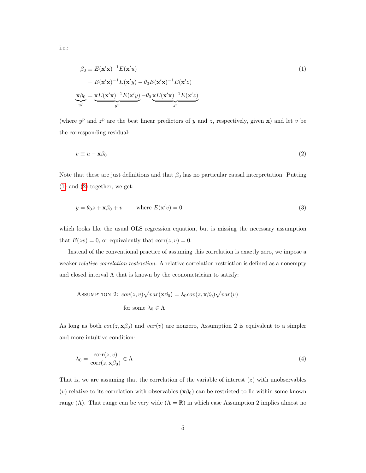i.e.:

<span id="page-5-0"></span>
$$
\beta_0 \equiv E(\mathbf{x}'\mathbf{x})^{-1} E(\mathbf{x}'u)
$$
  
\n
$$
= E(\mathbf{x}'\mathbf{x})^{-1} E(\mathbf{x}'y) - \theta_0 E(\mathbf{x}'\mathbf{x})^{-1} E(\mathbf{x}'z)
$$
  
\n
$$
\mathbf{x}\beta_0 = \mathbf{x}E(\mathbf{x}'\mathbf{x})^{-1} E(\mathbf{x}'y) - \theta_0 \mathbf{x}E(\mathbf{x}'\mathbf{x})^{-1} E(\mathbf{x}'z)
$$
  
\n
$$
\iota^p
$$

(where  $y^p$  and  $z^p$  are the best linear predictors of y and z, respectively, given x) and let v be the corresponding residual:

<span id="page-5-2"></span><span id="page-5-1"></span>
$$
v \equiv u - \mathbf{x}\beta_0 \tag{2}
$$

Note that these are just definitions and that  $\beta_0$  has no particular causal interpretation. Putting [\(1\)](#page-5-0) and [\(2\)](#page-5-1) together, we get:

$$
y = \theta_0 z + \mathbf{x}\beta_0 + v \qquad \text{where } E(\mathbf{x}'v) = 0 \tag{3}
$$

which looks like the usual OLS regression equation, but is missing the necessary assumption that  $E(zv) = 0$ , or equivalently that  $corr(z, v) = 0$ .

Instead of the conventional practice of assuming this correlation is exactly zero, we impose a weaker *relative correlation restriction*. A relative correlation restriction is defined as a nonempty and closed interval  $\Lambda$  that is known by the econometrician to satisfy:

Assumption 2: 
$$
cov(z, v) \sqrt{var(\mathbf{x}\beta_0)} = \lambda_0 cov(z, \mathbf{x}\beta_0) \sqrt{var(v)}
$$
  
for some  $\lambda_0 \in \Lambda$ 

As long as both  $cov(z, \mathbf{x}\beta_0)$  and  $var(v)$  are nonzero, Assumption 2 is equivalent to a simpler and more intuitive condition:

<span id="page-5-3"></span>
$$
\lambda_0 = \frac{\text{corr}(z, v)}{\text{corr}(z, \mathbf{x}\beta_0)} \in \Lambda \tag{4}
$$

That is, we are assuming that the correlation of the variable of interest  $(z)$  with unobservables (v) relative to its correlation with observables  $(\mathbf{x}\beta_0)$  can be restricted to lie within some known range (Λ). That range can be very wide ( $\Lambda = \mathbb{R}$ ) in which case Assumption 2 implies almost no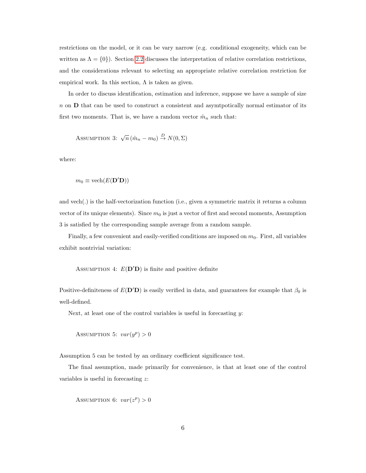restrictions on the model, or it can be vary narrow (e.g. conditional exogeneity, which can be written as  $\Lambda = \{0\}$ . Section [2.2](#page-7-0) discusses the interpretation of relative correlation restrictions, and the considerations relevant to selecting an appropriate relative correlation restriction for empirical work. In this section,  $\Lambda$  is taken as given.

In order to discuss identification, estimation and inference, suppose we have a sample of size n on D that can be used to construct a consistent and asymtpotically normal estimator of its first two moments. That is, we have a random vector  $\hat{m}_n$  such that:

$$
Assumption 3: \sqrt{n} (\hat{m}_n - m_0) \stackrel{D}{\rightarrow} N(0, \Sigma)
$$

where:

$$
m_0 \equiv \mathrm{vech}(E(\mathbf{D}'\mathbf{D}))
$$

and vech(.) is the half-vectorization function (i.e., given a symmetric matrix it returns a column vector of its unique elements). Since  $m_0$  is just a vector of first and second moments, Assumption 3 is satisfied by the corresponding sample average from a random sample.

Finally, a few convenient and easily-verified conditions are imposed on  $m_0$ . First, all variables exhibit nontrivial variation:

ASSUMPTION 4:  $E(D'D)$  is finite and positive definite

Positive-definiteness of  $E(D'D)$  is easily verified in data, and guarantees for example that  $\beta_0$  is well-defined.

Next, at least one of the control variables is useful in forecasting  $y$ :

ASSUMPTION 5:  $var(y^p) > 0$ 

Assumption 5 can be tested by an ordinary coefficient significance test.

The final assumption, made primarily for convenience, is that at least one of the control variables is useful in forecasting z:

ASSUMPTION 6:  $var(z^p) > 0$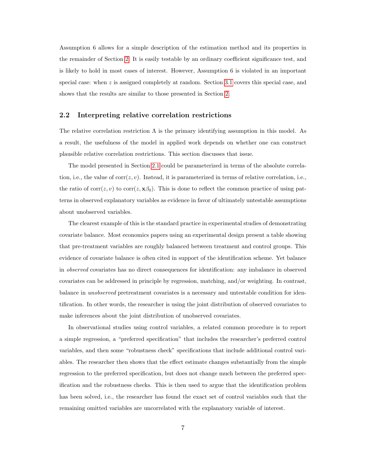Assumption 6 allows for a simple description of the estimation method and its properties in the remainder of Section [2.](#page-4-0) It is easily testable by an ordinary coefficient significance test, and is likely to hold in most cases of interest. However, Assumption 6 is violated in an important special case: when  $z$  is assigned completely at random. Section [3.1](#page-15-0) covers this special case, and shows that the results are similar to those presented in Section [2.](#page-4-0)

#### <span id="page-7-0"></span>2.2 Interpreting relative correlation restrictions

The relative correlation restriction  $\Lambda$  is the primary identifying assumption in this model. As a result, the usefulness of the model in applied work depends on whether one can construct plausible relative correlation restrictions. This section discusses that issue.

The model presented in Section [2.1](#page-4-1) could be parameterized in terms of the absolute correlation, i.e., the value of  $corr(z, v)$ . Instead, it is parameterized in terms of relative correlation, i.e., the ratio of  $corr(z, v)$  to  $corr(z, \mathbf{x}\beta_0)$ . This is done to reflect the common practice of using patterns in observed explanatory variables as evidence in favor of ultimately untestable assumptions about unobserved variables.

The clearest example of this is the standard practice in experimental studies of demonstrating covariate balance. Most economics papers using an experimental design present a table showing that pre-treatment variables are roughly balanced between treatment and control groups. This evidence of covariate balance is often cited in support of the identification scheme. Yet balance in observed covariates has no direct consequences for identification: any imbalance in observed covariates can be addressed in principle by regression, matching, and/or weighting. In contrast, balance in unobserved pretreatment covariates is a necessary and untestable condition for identification. In other words, the researcher is using the joint distribution of observed covariates to make inferences about the joint distribution of unobserved covariates.

In observational studies using control variables, a related common procedure is to report a simple regression, a "preferred specification" that includes the researcher's preferred control variables, and then some "robustness check" specifications that include additional control variables. The researcher then shows that the effect estimate changes substantially from the simple regression to the preferred specification, but does not change much between the preferred specification and the robustness checks. This is then used to argue that the identification problem has been solved, i.e., the researcher has found the exact set of control variables such that the remaining omitted variables are uncorrelated with the explanatory variable of interest.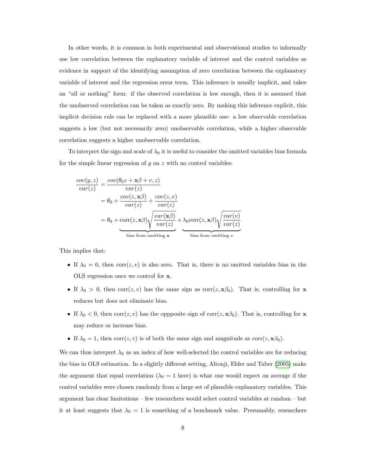In other words, it is common in both experimental and observational studies to informally use low correlation between the explanatory variable of interest and the control variables as evidence in support of the identifying assumption of zero correlation between the explanatory variable of interest and the regression error term. This inference is usually implicit, and takes an "all or nothing" form: if the observed correlation is low enough, then it is assumed that the unobserved correlation can be taken as exactly zero. By making this inference explicit, this implicit decision rule can be replaced with a more plausible one: a low observable correlation suggests a low (but not necessarily zero) unobservable correlation, while a higher observable correlation suggests a higher unobservable correlation.

To interpret the sign and scale of  $\lambda_0$  it is useful to consider the omitted variables bias formula for the simple linear regression of  $y$  on  $z$  with no control variables:

$$
\frac{cov(y, z)}{var(z)} = \frac{cov(\theta_0 z + \mathbf{x}\beta + v, z)}{var(z)}
$$
  
=  $\theta_0 + \frac{cov(z, \mathbf{x}\beta)}{var(z)} + \frac{cov(z, v)}{var(z)}$   
=  $\theta_0 + \text{corr}(z, \mathbf{x}\beta) \sqrt{\frac{var(\mathbf{x}\beta)}{var(z)}} + \lambda_0 \text{corr}(z, \mathbf{x}\beta) \sqrt{\frac{var(v)}{var(z)}}$   
bias from omitting **x**

This implies that:

- If  $\lambda_0 = 0$ , then corr $(z, v)$  is also zero. That is, there is no omitted variables bias in the OLS regression once we control for x.
- If  $\lambda_0 > 0$ , then corr $(z, v)$  has the same sign as corr $(z, \mathbf{x}\beta_0)$ . That is, controlling for **x** reduces but does not eliminate bias.
- If  $\lambda_0 < 0$ , then  $corr(z, v)$  has the oppposite sign of  $corr(z, \mathbf{x}\beta_0)$ . That is, controlling for **x** may reduce or increase bias.
- If  $\lambda_0 = 1$ , then corr $(z, v)$  is of both the same sign and magnitude as corr $(z, \mathbf{x}\beta_0)$ .

We can thus interpret  $\lambda_0$  as an index of how well-selected the control variables are for reducing the bias in OLS estimation. In a slightly different setting, Altonji, Elder and Taber [\(2005\)](#page-29-1) make the argument that equal correlation ( $\lambda_0 = 1$  here) is what one would expect on average if the control variables were chosen randomly from a large set of plausible explanatory variables. This argument has clear limitations – few researchers would select control variables at random – but it at least suggests that  $\lambda_0 = 1$  is something of a benchmark value. Presumably, researchers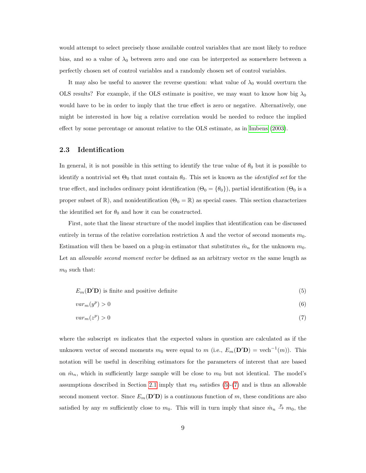would attempt to select precisely those available control variables that are most likely to reduce bias, and so a value of  $\lambda_0$  between zero and one can be interpreted as somewhere between a perfectly chosen set of control variables and a randomly chosen set of control variables.

It may also be useful to answer the reverse question: what value of  $\lambda_0$  would overturn the OLS results? For example, if the OLS estimate is positive, we may want to know how big  $\lambda_0$ would have to be in order to imply that the true effect is zero or negative. Alternatively, one might be interested in how big a relative correlation would be needed to reduce the implied effect by some percentage or amount relative to the OLS estimate, as in [Imbens \(2003\)](#page-30-4).

#### <span id="page-9-2"></span>2.3 Identification

In general, it is not possible in this setting to identify the true value of  $\theta_0$  but it is possible to identify a nontrivial set  $\Theta_0$  that must contain  $\theta_0$ . This set is known as the *identified set* for the true effect, and includes ordinary point identification ( $\Theta_0 = \{\theta_0\}$ ), partial identification ( $\Theta_0$  is a proper subset of  $\mathbb{R}$ ), and nonidentification ( $\Theta_0 = \mathbb{R}$ ) as special cases. This section characterizes the identified set for  $\theta_0$  and how it can be constructed.

First, note that the linear structure of the model implies that identification can be discussed entirely in terms of the relative correlation restriction  $\Lambda$  and the vector of second moments  $m_0$ . Estimation will then be based on a plug-in estimator that substitutes  $\hat{m}_n$  for the unknown  $m_0$ . Let an *allowable second moment vector* be defined as an arbitrary vector  $m$  the same length as  $m_0$  such that:

<span id="page-9-0"></span>
$$
E_m(\mathbf{D}'\mathbf{D})
$$
 is finite and positive definite\n
$$
\tag{5}
$$

$$
var_m(y^p) > 0 \tag{6}
$$

<span id="page-9-1"></span>
$$
var_m(z^p) > 0 \tag{7}
$$

where the subscript  $m$  indicates that the expected values in question are calculated as if the unknown vector of second moments  $m_0$  were equal to  $m$  (i.e.,  $E_m(\mathbf{D}'\mathbf{D}) = \text{vech}^{-1}(m)$ ). This notation will be useful in describing estimators for the parameters of interest that are based on  $\hat{m}_n$ , which in sufficiently large sample will be close to  $m_0$  but not identical. The model's assumptions described in Section [2.1](#page-4-1) imply that  $m_0$  satisfies [\(5\)](#page-9-0)-[\(7\)](#page-9-1) and is thus an allowable second moment vector. Since  $E_m(\mathbf{D}'\mathbf{D})$  is a continuous function of m, these conditions are also satisfied by any m sufficiently close to  $m_0$ . This will in turn imply that since  $\hat{m}_n \stackrel{p}{\to} m_0$ , the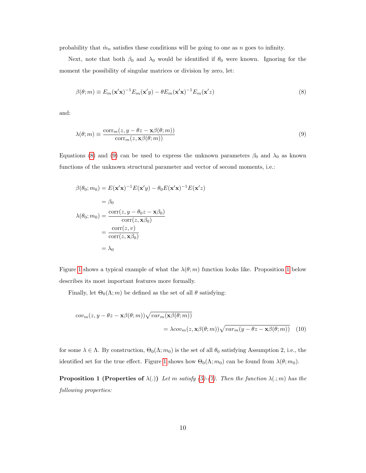probability that  $\hat{m}_n$  satisfies these conditions will be going to one as n goes to infinity.

Next, note that both  $\beta_0$  and  $\lambda_0$  would be identified if  $\theta_0$  were known. Ignoring for the moment the possibility of singular matrices or division by zero, let:

<span id="page-10-1"></span><span id="page-10-0"></span>
$$
\beta(\theta; m) \equiv E_m(\mathbf{x}'\mathbf{x})^{-1} E_m(\mathbf{x}'y) - \theta E_m(\mathbf{x}'\mathbf{x})^{-1} E_m(\mathbf{x}'z)
$$
\n(8)

and:

$$
\lambda(\theta; m) \equiv \frac{\text{corr}_m(z, y - \theta z - \mathbf{x}\beta(\theta; m))}{\text{corr}_m(z, \mathbf{x}\beta(\theta; m))}
$$
(9)

Equations [\(8\)](#page-10-0) and [\(9\)](#page-10-1) can be used to express the unknown parameters  $\beta_0$  and  $\lambda_0$  as known functions of the unknown structural parameter and vector of second moments, i.e.:

$$
\beta(\theta_0; m_0) = E(\mathbf{x}'\mathbf{x})^{-1} E(\mathbf{x}'y) - \theta_0 E(\mathbf{x}'\mathbf{x})^{-1} E(\mathbf{x}'z)
$$
  
\n
$$
= \beta_0
$$
  
\n
$$
\lambda(\theta_0; m_0) = \frac{\text{corr}(z, y - \theta_0 z - \mathbf{x}\beta_0)}{\text{corr}(z, \mathbf{x}\beta_0)}
$$
  
\n
$$
= \frac{\text{corr}(z, v)}{\text{corr}(z, \mathbf{x}\beta_0)}
$$
  
\n
$$
= \lambda_0
$$

Figure [1](#page-10-2) shows a typical example of what the  $\lambda(\theta; m)$  function looks like. Proposition 1 below describes its most important features more formally.

Finally, let  $\Theta_0(\Lambda; m)$  be defined as the set of all  $\theta$  satisfying:

<span id="page-10-3"></span>
$$
cov_m(z, y - \theta z - \mathbf{x}\beta(\theta; m))\sqrt{var_m(\mathbf{x}\beta(\theta; m))}
$$
  
=  $\lambda cov_m(z, \mathbf{x}\beta(\theta; m))\sqrt{var_m(y - \theta z - \mathbf{x}\beta(\theta; m))}$  (10)

for some  $\lambda \in \Lambda$ . By construction,  $\Theta_0(\Lambda; m_0)$  is the set of all  $\theta_0$  satisfying Assumption 2, i.e., the identified set for the true effect. Figure [1](#page-11-0) shows how  $\Theta_0(\Lambda; m_0)$  can be found from  $\lambda(\theta; m_0)$ .

<span id="page-10-2"></span>**Proposition 1 (Properties of**  $\lambda(.)$ ) Let m satisfy [\(5\)](#page-9-0)-[\(7\)](#page-9-1). Then the function  $\lambda(.; m)$  has the following properties: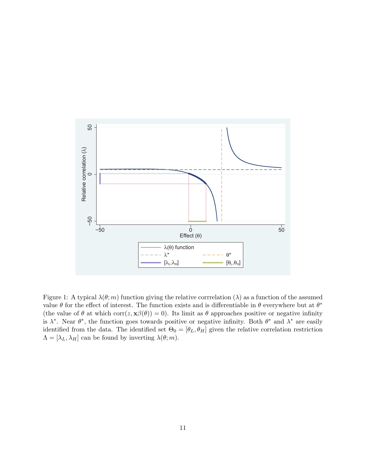

<span id="page-11-0"></span>Figure 1: A typical  $\lambda(\theta; m)$  function giving the relative corrrelation  $(\lambda)$  as a function of the assumed value  $\theta$  for the effect of interest. The function exists and is differentiable in  $\theta$  everywhere but at  $\theta^*$ (the value of  $\theta$  at which corr( $z, \mathbf{x}\beta(\theta)$ ) = 0). Its limit as  $\theta$  approaches positive or negative infinity is  $\lambda^*$ . Near  $\theta^*$ , the function goes towards positive or negative infinity. Both  $\theta^*$  and  $\lambda^*$  are easily identified from the data. The identified set  $\Theta_0 = [\theta_L, \theta_H]$  given the relative correlation restriction  $\Lambda = [\lambda_L, \lambda_H]$  can be found by inverting  $\lambda(\theta; m)$ .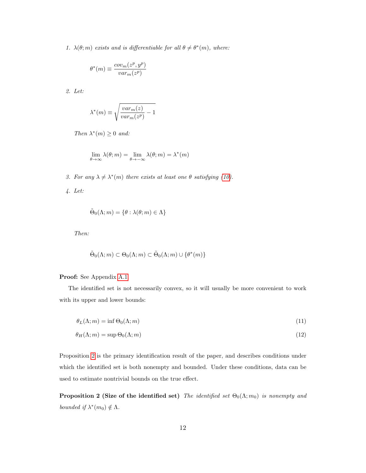1.  $\lambda(\theta; m)$  exists and is differentiable for all  $\theta \neq \theta^{*}(m)$ , where:

$$
\theta^*(m) \equiv \frac{cov_m(z^p,y^p)}{var_m(z^p)}
$$

2. Let:

$$
\lambda^*(m) \equiv \sqrt{\frac{var_m(z)}{var_m(z^p)} - 1}
$$

Then  $\lambda^*(m) \geq 0$  and:

$$
\lim_{\theta\to\infty}\lambda(\theta;m)=\lim_{\theta\to-\infty}\lambda(\theta;m)=\lambda^*(m)
$$

3. For any  $\lambda \neq \lambda^*(m)$  there exists at least one  $\theta$  satisfying [\(10\)](#page-10-3).

4. Let:

$$
\tilde{\Theta}_0(\Lambda; m) = \{\theta : \lambda(\theta; m) \in \Lambda\}
$$

Then:

$$
\tilde{\Theta}_0(\Lambda; m) \subset \Theta_0(\Lambda; m) \subset \tilde{\Theta}_0(\Lambda; m) \cup \{ \theta^*(m) \}
$$

Proof: See Appendix [A.1.](#page-32-0)

The identified set is not necessarily convex, so it will usually be more convenient to work with its upper and lower bounds:

$$
\theta_L(\Lambda; m) = \inf \Theta_0(\Lambda; m) \tag{11}
$$

$$
\theta_H(\Lambda; m) = \sup \Theta_0(\Lambda; m) \tag{12}
$$

Proposition [2](#page-12-0) is the primary identification result of the paper, and describes conditions under which the identified set is both nonempty and bounded. Under these conditions, data can be used to estimate nontrivial bounds on the true effect.

<span id="page-12-0"></span>**Proposition 2 (Size of the identified set)** The identified set  $\Theta_0(\Lambda; m_0)$  is nonempty and bounded if  $\lambda^*(m_0) \notin \Lambda$ .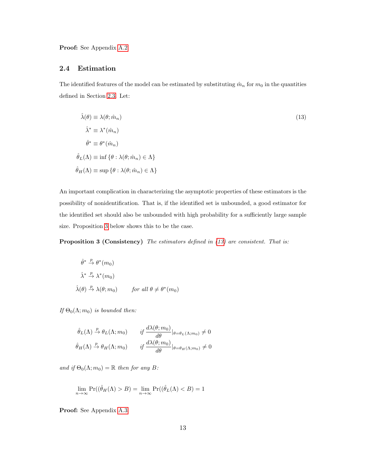Proof: See Appendix [A.2.](#page-37-0)

#### <span id="page-13-2"></span>2.4 Estimation

The identified features of the model can be estimated by substituting  $\hat{m}_n$  for  $m_0$  in the quantities defined in Section [2.3.](#page-9-2) Let:

<span id="page-13-1"></span>
$$
\hat{\lambda}(\theta) \equiv \lambda(\theta; \hat{m}_n)
$$
\n
$$
\hat{\lambda}^* \equiv \lambda^*(\hat{m}_n)
$$
\n
$$
\hat{\theta}^* \equiv \theta^*(\hat{m}_n)
$$
\n
$$
\hat{\theta}_L(\Lambda) \equiv \inf \{ \theta : \lambda(\theta; \hat{m}_n) \in \Lambda \}
$$
\n
$$
\hat{\theta}_H(\Lambda) \equiv \sup \{ \theta : \lambda(\theta; \hat{m}_n) \in \Lambda \}
$$
\n(13)

An important complication in characterizing the asymptotic properties of these estimators is the possibility of nonidentification. That is, if the identified set is unbounded, a good estimator for the identified set should also be unbounded with high probability for a sufficiently large sample size. Proposition [3](#page-13-0) below shows this to be the case.

<span id="page-13-0"></span>Proposition 3 (Consistency) The estimators defined in [\(13\)](#page-13-1) are consistent. That is:

$$
\hat{\theta}^* \stackrel{p}{\to} \theta^*(m_0)
$$
  

$$
\hat{\lambda}^* \stackrel{p}{\to} \lambda^*(m_0)
$$
  

$$
\hat{\lambda}(\theta) \stackrel{p}{\to} \lambda(\theta; m_0) \qquad \text{for all } \theta \neq \theta^*(m_0)
$$

If  $\Theta_0(\Lambda; m_0)$  is bounded then:

$$
\hat{\theta}_L(\Lambda) \xrightarrow{p} \theta_L(\Lambda; m_0) \qquad \text{if } \frac{d\lambda(\theta; m_0)}{d\theta}|_{\theta = \theta_L(\Lambda; m_0)} \neq 0
$$

$$
\hat{\theta}_H(\Lambda) \xrightarrow{p} \theta_H(\Lambda; m_0) \qquad \text{if } \frac{d\lambda(\theta; m_0)}{d\theta}|_{\theta = \theta_H(\Lambda; m_0)} \neq 0
$$

and if  $\Theta_0(\Lambda; m_0) = \mathbb{R}$  then for any B:

$$
\lim_{n \to \infty} \Pr((\hat{\theta}_H(\Lambda) > B) = \lim_{n \to \infty} \Pr((\hat{\theta}_L(\Lambda) < B) = 1
$$

Proof: See Appendix [A.3.](#page-37-1)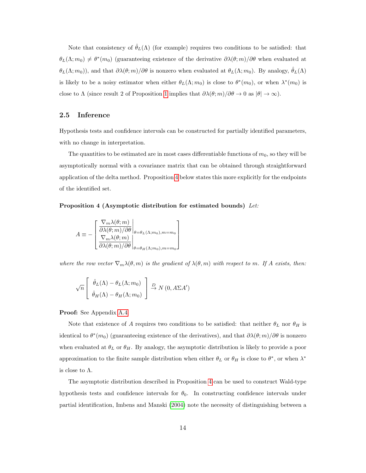Note that consistency of  $\hat{\theta}_L(\Lambda)$  (for example) requires two conditions to be satisfied: that  $\theta_L(\Lambda; m_0) \neq \theta^*(m_0)$  (guaranteeing existence of the derivative  $\partial \lambda(\theta; m)/\partial \theta$  when evaluated at  $\theta_L(\Lambda; m_0)$ , and that  $\partial \lambda(\theta; m)/\partial \theta$  is nonzero when evaluated at  $\theta_L(\Lambda; m_0)$ . By analogy,  $\hat{\theta}_L(\Lambda)$ is likely to be a noisy estimator when either  $\theta_L(\Lambda; m_0)$  is close to  $\theta^*(m_0)$ , or when  $\lambda^*(m_0)$  is close to  $\Lambda$  (since result 2 of Proposition [1](#page-10-2) implies that  $\partial \lambda(\theta; m)/\partial \theta \to 0$  as  $|\theta| \to \infty$ ).

#### <span id="page-14-1"></span>2.5 Inference

Hypothesis tests and confidence intervals can be constructed for partially identified parameters, with no change in interpretation.

The quantities to be estimated are in most cases differentiable functions of  $m_0$ , so they will be asymptotically normal with a covariance matrix that can be obtained through straightforward application of the delta method. Proposition [4](#page-14-0) below states this more explicitly for the endpoints of the identified set.

#### <span id="page-14-0"></span>Proposition 4 (Asymptotic distribution for estimated bounds) Let:

$$
A \equiv -\begin{bmatrix} \nabla_m \lambda(\theta; m) \\ \frac{\partial \lambda(\theta; m)}{\partial n} \Big|_{\theta = \theta_L(\Lambda; m_0), m = m_0} \\ \frac{\nabla_m \lambda(\theta; m)}{\partial \lambda(\theta; m) / \partial \theta} \Big|_{\theta = \theta_H(\Lambda; m_0), m = m_0} \end{bmatrix}
$$

where the row vector  $\nabla_m \lambda(\theta, m)$  is the gradient of  $\lambda(\theta, m)$  with respect to m. If A exists, then:

$$
\sqrt{n}\left[\begin{array}{c}\hat{\theta}_L(\Lambda) - \theta_L(\Lambda; m_0) \\ \hat{\theta}_H(\Lambda) - \theta_H(\Lambda; m_0)\end{array}\right] \stackrel{D}{\rightarrow} N(0, A\Sigma A')
$$

Proof: See Appendix [A.4.](#page-38-0)

Note that existence of A requires two conditions to be satisfied: that neither  $\theta_L$  nor  $\theta_H$  is identical to  $\theta^*(m_0)$  (guaranteeing existence of the derivatives), and that  $\partial \lambda(\theta; m)/\partial \theta$  is nonzero when evaluated at  $\theta_L$  or  $\theta_H$ . By analogy, the asymptotic distribution is likely to provide a poor approximation to the finite sample distribution when either  $\theta_L$  or  $\theta_H$  is close to  $\theta^*$ , or when  $\lambda^*$ is close to  $\Lambda$ .

The asymptotic distribution described in Proposition [4](#page-14-0) can be used to construct Wald-type hypothesis tests and confidence intervals for  $\theta_0$ . In constructing confidence intervals under partial identification, Imbens and Manski [\(2004\)](#page-30-8) note the necessity of distinguishing between a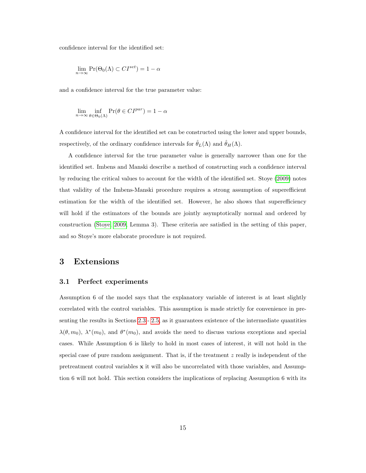confidence interval for the identified set:

$$
\lim_{n \to \infty} \Pr(\Theta_0(\Lambda) \subset CI^{set}) = 1 - \alpha
$$

and a confidence interval for the true parameter value:

$$
\lim_{n \to \infty} \inf_{\theta \in \Theta_0(\Lambda)} \Pr(\theta \in CI^{par}) = 1 - \alpha
$$

A confidence interval for the identified set can be constructed using the lower and upper bounds, respectively, of the ordinary confidence intervals for  $\hat{\theta}_L(\Lambda)$  and  $\hat{\theta}_H(\Lambda)$ .

A confidence interval for the true parameter value is generally narrower than one for the identified set. Imbens and Manski describe a method of constructing such a confidence interval by reducing the critical values to account for the width of the identified set. Stoye [\(2009\)](#page-31-4) notes that validity of the Imbens-Manski procedure requires a strong assumption of superefficient estimation for the width of the identified set. However, he also shows that superefficiency will hold if the estimators of the bounds are jointly asymptotically normal and ordered by construction [\(Stoye, 2009,](#page-31-4) Lemma 3). These criteria are satisfied in the setting of this paper, and so Stoye's more elaborate procedure is not required.

## 3 Extensions

#### <span id="page-15-0"></span>3.1 Perfect experiments

Assumption 6 of the model says that the explanatory variable of interest is at least slightly correlated with the control variables. This assumption is made strictly for convenience in presenting the results in Sections [2.3](#page-9-2)- [2.5,](#page-14-1) as it guarantees existence of the intermediate quantities  $\lambda(\theta, m_0)$ ,  $\lambda^*(m_0)$ , and  $\theta^*(m_0)$ , and avoids the need to discuss various exceptions and special cases. While Assumption 6 is likely to hold in most cases of interest, it will not hold in the special case of pure random assignment. That is, if the treatment  $z$  really is independent of the pretreatment control variables x it will also be uncorrelated with those variables, and Assumption 6 will not hold. This section considers the implications of replacing Assumption 6 with its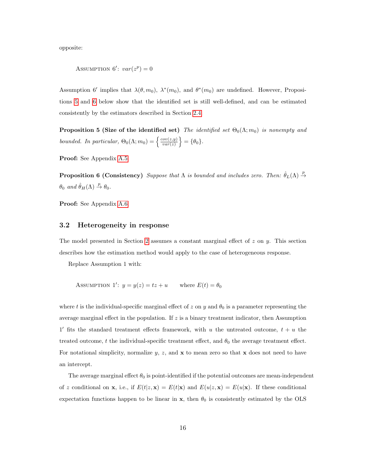opposite:

ASSUMPTION 6':  $var(z^p) = 0$ 

Assumption 6' implies that  $\lambda(\theta, m_0)$ ,  $\lambda^*(m_0)$ , and  $\theta^*(m_0)$  are undefined. However, Propositions [5](#page-16-0) and [6](#page-16-1) below show that the identified set is still well-defined, and can be estimated consistently by the estimators described in Section [2.4.](#page-13-2)

<span id="page-16-0"></span>**Proposition 5 (Size of the identified set)** The identified set  $\Theta_0(\Lambda; m_0)$  is nonempty and bounded. In particular,  $\Theta_0(\Lambda; m_0) = \begin{cases} \frac{cov(z,y)}{var(z)} \end{cases}$  $\left\{\frac{cov(z,y)}{var(z)}\right\} = \{\theta_0\}.$ 

<span id="page-16-1"></span>Proof: See Appendix [A.5.](#page-38-1)

**Proposition 6 (Consistency)** Suppose that  $\Lambda$  is bounded and includes zero. Then:  $\hat{\theta}_L(\Lambda) \stackrel{p}{\to}$  $\theta_0$  and  $\hat{\theta}_H(\Lambda) \stackrel{p}{\rightarrow} \theta_0$ .

Proof: See Appendix [A.6.](#page-39-0)

#### 3.2 Heterogeneity in response

The model presented in Section [2](#page-4-0) assumes a constant marginal effect of  $z$  on  $y$ . This section describes how the estimation method would apply to the case of heterogeneous response.

Replace Assumption 1 with:

ASSUMPTION 1':  $y = y(z) = tz + u$  where  $E(t) = \theta_0$ 

where t is the individual-specific marginal effect of z on y and  $\theta_0$  is a parameter representing the average marginal effect in the population. If  $z$  is a binary treatment indicator, then Assumption 1' fits the standard treatment effects framework, with u the untreated outcome,  $t + u$  the treated outcome, t the individual-specific treatment effect, and  $\theta_0$  the average treatment effect. For notational simplicity, normalize y, z, and  $x$  to mean zero so that  $x$  does not need to have an intercept.

The average marginal effect  $\theta_0$  is point-identified if the potential outcomes are mean-independent of z conditional on **x**, i.e., if  $E(t|z, \mathbf{x}) = E(t|\mathbf{x})$  and  $E(u|z, \mathbf{x}) = E(u|\mathbf{x})$ . If these conditional expectation functions happen to be linear in  $x$ , then  $\theta_0$  is consistently estimated by the OLS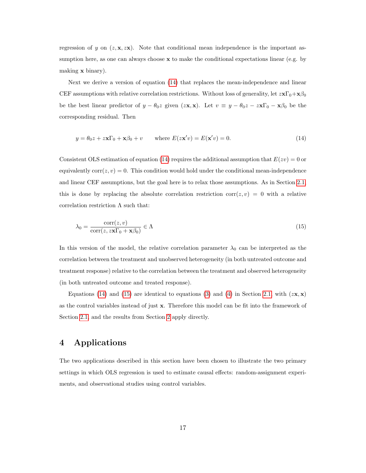regression of y on  $(z, \mathbf{x}, z\mathbf{x})$ . Note that conditional mean independence is the important assumption here, as one can always choose  $x$  to make the conditional expectations linear (e.g. by making x binary).

Next we derive a version of equation [\(14\)](#page-17-0) that replaces the mean-independence and linear CEF assumptions with relative correlation restrictions. Without loss of generality, let  $z\mathbf{x}\Gamma_0+\mathbf{x}\beta_0$ be the best linear predictor of  $y - \theta_0 z$  given  $(z\mathbf{x}, \mathbf{x})$ . Let  $v \equiv y - \theta_0 z - z\mathbf{x}\Gamma_0 - \mathbf{x}\beta_0$  be the corresponding residual. Then

<span id="page-17-0"></span>
$$
y = \theta_0 z + z \mathbf{x} \Gamma_0 + \mathbf{x} \beta_0 + v \qquad \text{where } E(z \mathbf{x}' v) = E(\mathbf{x}' v) = 0.
$$
 (14)

Consistent OLS estimation of equation [\(14\)](#page-17-0) requires the additional assumption that  $E(zv) = 0$  or equivalently  $corr(z, v) = 0$ . This condition would hold under the conditional mean-independence and linear CEF assumptions, but the goal here is to relax those assumptions. As in Section [2.1,](#page-4-1) this is done by replacing the absolute correlation restriction corr $(z, v) = 0$  with a relative correlation restriction  $\Lambda$  such that:

<span id="page-17-1"></span>
$$
\lambda_0 = \frac{\text{corr}(z, v)}{\text{corr}(z, z\mathbf{x}\Gamma_0 + \mathbf{x}\beta_0)} \in \Lambda \tag{15}
$$

In this version of the model, the relative correlation parameter  $\lambda_0$  can be interpreted as the correlation between the treatment and unobserved heterogeneity (in both untreated outcome and treatment response) relative to the correlation between the treatment and observed heterogeneity (in both untreated outcome and treated response).

Equations [\(14\)](#page-17-0) and [\(15\)](#page-17-1) are identical to equations [\(3\)](#page-5-2) and [\(4\)](#page-5-3) in Section [2.1,](#page-4-1) with  $(zx, x)$ as the control variables instead of just x. Therefore this model can be fit into the framework of Section [2.1,](#page-4-1) and the results from Section [2](#page-4-0) apply directly.

## 4 Applications

The two applications described in this section have been chosen to illustrate the two primary settings in which OLS regression is used to estimate causal effects: random-assignment experiments, and observational studies using control variables.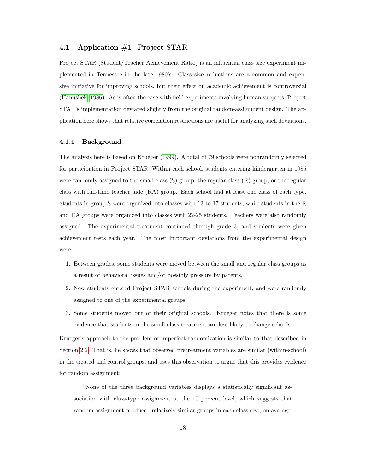#### 4.1 Application #1: Project STAR

Project STAR (Student/Teacher Achievement Ratio) is an influential class size experiment implemented in Tennessee in the late 1980's. Class size reductions are a common and expensive initiative for improving schools, but their effect on academic achievement is controversial [\(Hanushek, 1986\)](#page-30-9). As is often the case with field experiments involving human subjects, Project STAR's implementation deviated slightly from the original random-assignment design. The application here shows that relative correlation restrictions are useful for analyzing such deviations.

#### 4.1.1 Background

The analysis here is based on Krueger [\(1999\)](#page-30-0). A total of 79 schools were nonrandomly selected for participation in Project STAR. Within each school, students entering kindergarten in 1985 were randomly assigned to the small class (S) group, the regular class (R) group, or the regular class with full-time teacher aide (RA) group. Each school had at least one class of each type. Students in group S were organized into classes with 13 to 17 students, while students in the R and RA groups were organized into classes with 22-25 students. Teachers were also randomly assigned. The experimental treatment continued through grade 3, and students were given achievement tests each year. The most important deviations from the experimental design were:

- 1. Between grades, some students were moved between the small and regular class groups as a result of behavioral issues and/or possibly pressure by parents.
- 2. New students entered Project STAR schools during the experiment, and were randomly assigned to one of the experimental groups.
- 3. Some students moved out of their original schools. Krueger notes that there is some evidence that students in the small class treatment are less likely to change schools.

Krueger's approach to the problem of imperfect randomization is similar to that described in Section [2.2.](#page-7-0) That is, he shows that observed pretreatment variables are similar (within-school) in the treated and control groups, and uses this observation to argue that this provides evidence for random assignment:

"None of the three background variables displays a statistically significant association with class-type assignment at the 10 percent level, which suggests that random assignment produced relatively similar groups in each class size, on average.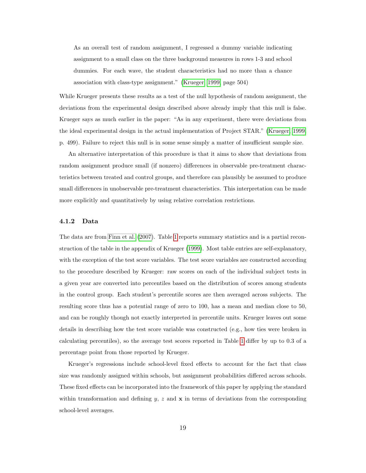As an overall test of random assignment, I regressed a dummy variable indicating assignment to a small class on the three background measures in rows 1-3 and school dummies. For each wave, the student characteristics had no more than a chance association with class-type assignment." [\(Krueger, 1999,](#page-30-0) page 504)

While Krueger presents these results as a test of the null hypothesis of random assignment, the deviations from the experimental design described above already imply that this null is false. Krueger says as much earlier in the paper: "As in any experiment, there were deviations from the ideal experimental design in the actual implementation of Project STAR." [\(Krueger, 1999,](#page-30-0) p. 499). Failure to reject this null is in some sense simply a matter of insufficient sample size.

An alternative interpretation of this procedure is that it aims to show that deviations from random assignment produce small (if nonzero) differences in observable pre-treatment characteristics between treated and control groups, and therefore can plausibly be assumed to produce small differences in unobservable pre-treatment characteristics. This interpretation can be made more explicitly and quantitatively by using relative correlation restrictions.

#### 4.1.2 Data

The data are from [Finn et al. \(2007\)](#page-30-10). Table [1](#page-20-0) reports summary statistics and is a partial reconstruction of the table in the appendix of Krueger [\(1999\)](#page-30-0). Most table entries are self-explanatory, with the exception of the test score variables. The test score variables are constructed according to the procedure described by Krueger: raw scores on each of the individual subject tests in a given year are converted into percentiles based on the distribution of scores among students in the control group. Each student's percentile scores are then averaged across subjects. The resulting score thus has a potential range of zero to 100, has a mean and median close to 50, and can be roughly though not exactly interpreted in percentile units. Krueger leaves out some details in describing how the test score variable was constructed (e.g., how ties were broken in calculating percentiles), so the average test scores reported in Table [1](#page-20-0) differ by up to 0.3 of a percentage point from those reported by Krueger.

Krueger's regressions include school-level fixed effects to account for the fact that class size was randomly assigned within schools, but assignment probabilities differed across schools. These fixed effects can be incorporated into the framework of this paper by applying the standard within transformation and defining  $y, z$  and  $x$  in terms of deviations from the corresponding school-level averages.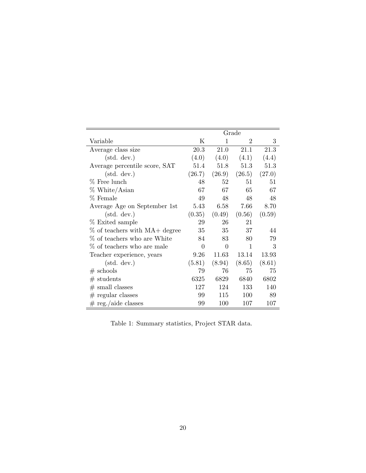|                                      | Grade    |          |                |        |
|--------------------------------------|----------|----------|----------------|--------|
| Variable                             | Κ        | 1        | $\overline{2}$ | 3      |
| Average class size                   | 20.3     | 21.0     | 21.1           | 21.3   |
| $(\text{std. dev.})$                 | (4.0)    | (4.0)    | (4.1)          | (4.4)  |
| Average percentile score, SAT        | 51.4     | 51.8     | 51.3           | 51.3   |
| $(\text{std. dev.})$                 | (26.7)   | (26.9)   | (26.5)         | (27.0) |
| % Free lunch                         | 48       | 52       | 51             | 51     |
| $%$ White/Asian                      | 67       | 67       | 65             | 67     |
| % Female                             | 49       | 48       | 48             | 48     |
| Average Age on September 1st         | 5.43     | 6.58     | 7.66           | 8.70   |
| $(\text{std. dev.})$                 | (0.35)   | (0.49)   | (0.56)         | (0.59) |
| % Exited sample                      | 29       | 26       | 21             |        |
| % of teachers with MA+ degree        | 35       | 35       | 37             | 44     |
| % of teachers who are White          | 84       | 83       | 80             | 79     |
| % of teachers who are male           | $\Omega$ | $\Omega$ | $\mathbf{1}$   | 3      |
| Teacher experience, years            | 9.26     | 11.63    | 13.14          | 13.93  |
| $(\text{std. dev.})$                 | (5.81)   | (8.94)   | (8.65)         | (8.61) |
| $#$ schools                          | 79       | 76       | 75             | 75     |
| $#$ students                         | 6325     | 6829     | 6840           | 6802   |
| $#$ small classes                    | 127      | 124      | 133            | 140    |
| $#$ regular classes                  | 99       | 115      | 100            | 89     |
| $# \text{ reg.}/\text{aide classes}$ | 99       | 100      | 107            | 107    |

<span id="page-20-0"></span>Table 1: Summary statistics, Project STAR data.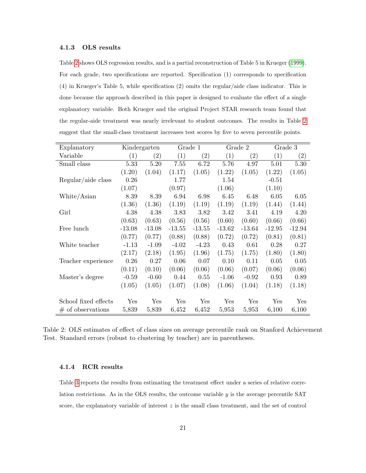#### 4.1.3 OLS results

Table [2](#page-21-0) shows OLS regression results, and is a partial reconstruction of Table 5 in Krueger [\(1999\)](#page-30-0). For each grade, two specifications are reported. Specification (1) corresponds to specification (4) in Krueger's Table 5, while specification (2) omits the regular/aide class indicator. This is done because the approach described in this paper is designed to evaluate the effect of a single explanatory variable. Both Krueger and the original Project STAR research team found that the regular-aide treatment was nearly irrelevant to student outcomes. The results in Table [2](#page-21-0) suggest that the small-class treatment increases test scores by five to seven percentile points.

| Explanatory          | Kindergarten |                   | Grade 1  |                   |          | Grade 2           | Grade 3  |                   |
|----------------------|--------------|-------------------|----------|-------------------|----------|-------------------|----------|-------------------|
| Variable             | (1)          | $\left( 2\right)$ | (1)      | $\left( 2\right)$ | (1)      | $\left( 2\right)$ | (1)      | $\left( 2\right)$ |
| Small class          | 5.33         | 5.20              | 7.55     | 6.72              | 5.76     | 4.97              | 5.01     | 5.30              |
|                      | (1.20)       | (1.04)            | (1.17)   | (1.05)            | (1.22)   | (1.05)            | (1.22)   | (1.05)            |
| Regular/aide class   | 0.26         |                   | 1.77     |                   | 1.54     |                   | $-0.51$  |                   |
|                      | (1.07)       |                   | (0.97)   |                   | (1.06)   |                   | (1.10)   |                   |
| White/Asian          | 8.39         | 8.39              | 6.94     | 6.98              | 6.45     | 6.48              | 6.05     | 6.05              |
|                      | (1.36)       | (1.36)            | (1.19)   | (1.19)            | (1.19)   | (1.19)            | (1.44)   | (1.44)            |
| Girl                 | 4.38         | 4.38              | 3.83     | 3.82              | 3.42     | 3.41              | 4.19     | 4.20              |
|                      | (0.63)       | (0.63)            | (0.56)   | (0.56)            | (0.60)   | (0.60)            | (0.66)   | (0.66)            |
| Free lunch           | $-13.08$     | $-13.08$          | $-13.55$ | $-13.55$          | $-13.62$ | $-13.64$          | $-12.95$ | $-12.94$          |
|                      | (0.77)       | (0.77)            | (0.88)   | (0.88)            | (0.72)   | (0.72)            | (0.81)   | (0.81)            |
| White teacher        | $-1.13$      | $-1.09$           | $-4.02$  | $-4.23$           | 0.43     | 0.61              | 0.28     | 0.27              |
|                      | (2.17)       | (2.18)            | (1.95)   | (1.96)            | (1.75)   | (1.75)            | (1.80)   | (1.80)            |
| Teacher experience   | 0.26         | 0.27              | 0.06     | 0.07              | 0.10     | 0.11              | 0.05     | 0.05              |
|                      | (0.11)       | (0.10)            | (0.06)   | (0.06)            | (0.06)   | (0.07)            | (0.06)   | (0.06)            |
| Master's degree      | $-0.59$      | $-0.60$           | 0.44     | 0.55              | $-1.06$  | $-0.92$           | 0.93     | 0.89              |
|                      | (1.05)       | (1.05)            | (1.07)   | (1.08)            | (1.06)   | (1.04)            | (1.18)   | (1.18)            |
|                      |              |                   |          |                   |          |                   |          |                   |
| School fixed effects | Yes          | Yes               | Yes      | Yes               | Yes      | ${\rm Yes}$       | Yes      | Yes               |
| $\#$ of observations | 5,839        | 5,839             | 6,452    | 6,452             | 5,953    | 5,953             | 6,100    | 6,100             |

<span id="page-21-0"></span>Table 2: OLS estimates of effect of class sizes on average percentile rank on Stanford Achievement Test. Standard errors (robust to clustering by teacher) are in parentheses.

#### 4.1.4 RCR results

Table [3](#page-23-0) reports the results from estimating the treatment effect under a series of relative correlation restrictions. As in the OLS results, the outcome variable  $y$  is the average percentile SAT score, the explanatory variable of interest  $z$  is the small class treatment, and the set of control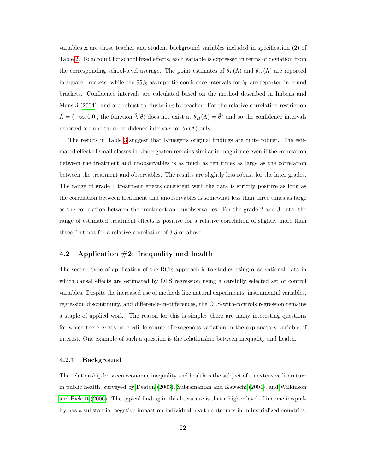variables x are those teacher and student background variables included in specification (2) of Table [2.](#page-21-0) To account for school fixed effects, each variable is expressed in terms of deviation from the corresponding school-level average. The point estimates of  $\theta_L(\Lambda)$  and  $\theta_H(\Lambda)$  are reported in square brackets, while the 95% asymptotic confidence intervals for  $\theta_0$  are reported in round brackets. Confidence intervals are calculated based on the method described in Imbens and Manski [\(2004\)](#page-30-8), and are robust to clustering by teacher. For the relative correlation restriction  $\Lambda = (-\infty, 0.0],$  the function  $\hat{\lambda}(\theta)$  does not exist at  $\hat{\theta}_H(\Lambda) = \hat{\theta}^*$  and so the confidence intervals reported are one-tailed confidence intervals for  $\theta_L(\Lambda)$  only.

The results in Table [3](#page-23-0) suggest that Krueger's original findings are quite robust. The estimated effect of small classes in kindergarten remains similar in magnitude even if the correlation between the treatment and unobservables is as much as ten times as large as the correlation between the treatment and observables. The results are slightly less robust for the later grades. The range of grade 1 treatment effects consistent with the data is strictly positive as long as the correlation between treatment and unobservables is somewhat less than three times as large as the correlation between the treatment and unobservables. For the grade 2 and 3 data, the range of estimated treatment effects is positive for a relative correlation of slightly more than three, but not for a relative correlation of 3.5 or above.

#### 4.2 Application  $#2$ : Inequality and health

The second type of application of the RCR approach is to studies using observational data in which causal effects are estimated by OLS regression using a carefully selected set of control variables. Despite the increased use of methods like natural experiments, instrumental variables, regression discontinuity, and difference-in-differences, the OLS-with-controls regression remains a staple of applied work. The reason for this is simple: there are many interesting questions for which there exists no credible source of exogenous variation in the explanatory variable of interest. One example of such a question is the relationship between inequality and health.

#### 4.2.1 Background

The relationship between economic inequality and health is the subject of an extensive literature in public health, surveyed by [Deaton \(2003\)](#page-30-11), [Subramanian and Kawachi \(2004\)](#page-31-5), and [Wilkinson](#page-31-6) [and Pickett \(2006\)](#page-31-6). The typical finding in this literature is that a higher level of income inequality has a substantial negative impact on individual health outcomes in industrialized countries,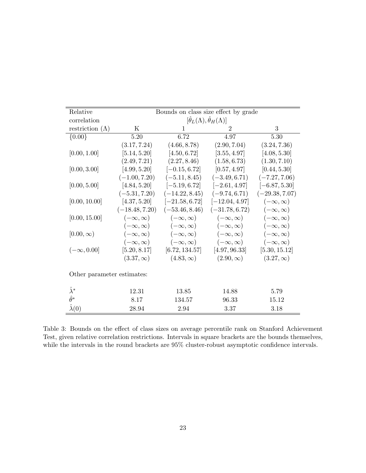| Relative                   | Bounds on class size effect by grade                 |                                  |                    |                    |  |  |  |  |  |
|----------------------------|------------------------------------------------------|----------------------------------|--------------------|--------------------|--|--|--|--|--|
| correlation                | $[\hat{\theta}_L(\Lambda), \hat{\theta}_H(\Lambda)]$ |                                  |                    |                    |  |  |  |  |  |
| restriction $(\Lambda)$    | K                                                    | 1                                | $\overline{2}$     | 3                  |  |  |  |  |  |
| ${0.00}$                   | 5.20                                                 | 6.72                             | 4.97               | 5.30               |  |  |  |  |  |
|                            | (3.17, 7.24)                                         | (4.66, 8.78)                     | (2.90, 7.04)       | (3.24, 7.36)       |  |  |  |  |  |
| [0.00, 1.00]               | [5.14, 5.20]                                         | [4.50, 6.72]                     | [3.55, 4.97]       | [4.08, 5.30]       |  |  |  |  |  |
|                            | (2.49, 7.21)                                         | (2.27, 8.46)                     | (1.58, 6.73)       | (1.30, 7.10)       |  |  |  |  |  |
| [0.00, 3.00]               | [4.99, 5.20]                                         | $[-0.15, 6.72]$                  | [0.57, 4.97]       | [0.44, 5.30]       |  |  |  |  |  |
|                            | $(-1.00, 7.20)$                                      | $(-5.11, 8.45)$                  | $(-3.49, 6.71)$    | $(-7.27, 7.06)$    |  |  |  |  |  |
| [0.00, 5.00]               | [4.84, 5.20]                                         | $[-5.19, 6.72]$                  | $[-2.61, 4.97]$    | $[-6.87, 5.30]$    |  |  |  |  |  |
|                            | $(-5.31, 7.20)$                                      | $(-14.22, 8.45)$                 | $(-9.74, 6.71)$    | $(-29.38, 7.07)$   |  |  |  |  |  |
| [0.00, 10.00]              | [4.37, 5.20]                                         | $[-21.58, 6.72]$                 | $[-12.04, 4.97]$   | $(-\infty,\infty)$ |  |  |  |  |  |
|                            | $(-18.48, 7.20)$                                     | $(-53.46, 8.46)$                 | $(-31.78, 6.72)$   | $(-\infty,\infty)$ |  |  |  |  |  |
| [0.00, 15.00]              | $(-\infty,\infty)$                                   | $(-\infty,\infty)$               | $(-\infty,\infty)$ | $(-\infty,\infty)$ |  |  |  |  |  |
|                            | $(-\infty,\infty)$                                   | $(-\infty,\infty)$               | $(-\infty,\infty)$ | $(-\infty,\infty)$ |  |  |  |  |  |
| $[0.00,\infty)$            | $(-\infty,\infty)$                                   | $(-\infty,\infty)$               | $(-\infty,\infty)$ | $(-\infty,\infty)$ |  |  |  |  |  |
|                            | $(-\infty,\infty)$                                   | $(-\infty,\infty)$               | $(-\infty,\infty)$ | $(-\infty,\infty)$ |  |  |  |  |  |
| $(-\infty, 0.00]$          | [5.20, 8.17]                                         | $[6.72, 134.57]$ $[4.97, 96.33]$ |                    | [5.30, 15.12]      |  |  |  |  |  |
|                            | $(3.37,\infty)$                                      | $(4.83,\infty)$                  | $(2.90,\infty)$    | $(3.27,\infty)$    |  |  |  |  |  |
| Other parameter estimates: |                                                      |                                  |                    |                    |  |  |  |  |  |
| $\hat{\lambda}^*$          | 12.31                                                | 13.85                            | 14.88              | 5.79               |  |  |  |  |  |
| $\hat{\theta}^*$           | 8.17                                                 | 134.57                           | 96.33              | 15.12              |  |  |  |  |  |
| $\hat{\lambda}(0)$         | 28.94                                                | 2.94                             | 3.37               | 3.18               |  |  |  |  |  |

<span id="page-23-0"></span>Table 3: Bounds on the effect of class sizes on average percentile rank on Stanford Achievement Test, given relative correlation restrictions. Intervals in square brackets are the bounds themselves, while the intervals in the round brackets are 95% cluster-robust asymptotic confidence intervals.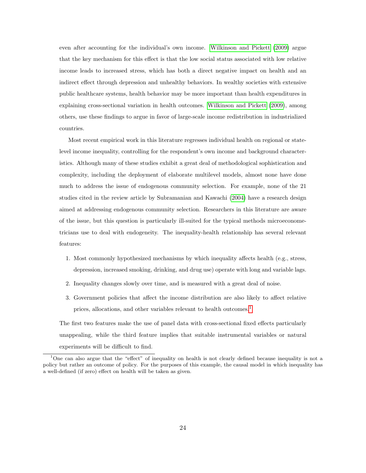even after accounting for the individual's own income. [Wilkinson and Pickett \(2009\)](#page-31-7) argue that the key mechanism for this effect is that the low social status associated with low relative income leads to increased stress, which has both a direct negative impact on health and an indirect effect through depression and unhealthy behaviors. In wealthy societies with extensive public healthcare systems, health behavior may be more important than health expenditures in explaining cross-sectional variation in health outcomes. [Wilkinson and Pickett \(2009\)](#page-31-7), among others, use these findings to argue in favor of large-scale income redistribution in industrialized countries.

Most recent empirical work in this literature regresses individual health on regional or statelevel income inequality, controlling for the respondent's own income and background characteristics. Although many of these studies exhibit a great deal of methodological sophistication and complexity, including the deployment of elaborate multilevel models, almost none have done much to address the issue of endogenous community selection. For example, none of the 21 studies cited in the review article by Subramanian and Kawachi [\(2004\)](#page-31-5) have a research design aimed at addressing endogenous community selection. Researchers in this literature are aware of the issue, but this question is particularly ill-suited for the typical methods microeconometricians use to deal with endogeneity. The inequality-health relationship has several relevant features:

- 1. Most commonly hypothesized mechanisms by which inequality affects health (e.g., stress, depression, increased smoking, drinking, and drug use) operate with long and variable lags.
- 2. Inequality changes slowly over time, and is measured with a great deal of noise.
- 3. Government policies that affect the income distribution are also likely to affect relative prices, allocations, and other variables relevant to health outcomes.[1](#page-1-0)

The first two features make the use of panel data with cross-sectional fixed effects particularly unappealing, while the third feature implies that suitable instrumental variables or natural experiments will be difficult to find.

<sup>1</sup>One can also argue that the "effect" of inequality on health is not clearly defined because inequality is not a policy but rather an outcome of policy. For the purposes of this example, the causal model in which inequality has a well-defined (if zero) effect on health will be taken as given.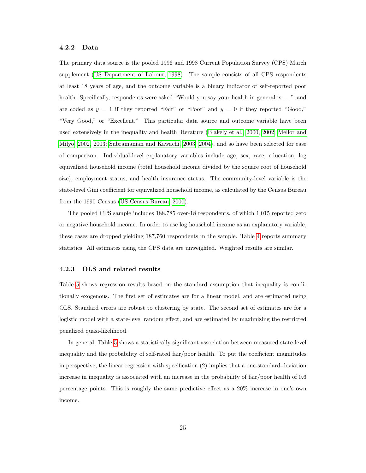#### 4.2.2 Data

The primary data source is the pooled 1996 and 1998 Current Population Survey (CPS) March supplement [\(US Department of Labour, 1998\)](#page-31-8). The sample consists of all CPS respondents at least 18 years of age, and the outcome variable is a binary indicator of self-reported poor health. Specifically, respondents were asked "Would you say your health in general is ..." and are coded as  $y = 1$  if they reported "Fair" or "Poor" and  $y = 0$  if they reported "Good," "Very Good," or "Excellent." This particular data source and outcome variable have been used extensively in the inequality and health literature [\(Blakely et al., 2000,](#page-29-3) [2002;](#page-29-4) [Mellor and](#page-31-9) [Milyo, 2002,](#page-31-9) [2003;](#page-31-10) [Subramanian and Kawachi, 2003,](#page-31-0) [2004\)](#page-31-5), and so have been selected for ease of comparison. Individual-level explanatory variables include age, sex, race, education, log equivalized household income (total household income divided by the square root of household size), employment status, and health insurance status. The community-level variable is the state-level Gini coefficient for equivalized household income, as calculated by the Census Bureau from the 1990 Census [\(US Census Bureau, 2000\)](#page-31-11).

The pooled CPS sample includes 188,785 over-18 respondents, of which 1,015 reported zero or negative household income. In order to use log household income as an explanatory variable, these cases are dropped yielding 187,760 respondents in the sample. Table [4](#page-26-0) reports summary statistics. All estimates using the CPS data are unweighted. Weighted results are similar.

#### 4.2.3 OLS and related results

Table [5](#page-27-0) shows regression results based on the standard assumption that inequality is conditionally exogenous. The first set of estimates are for a linear model, and are estimated using OLS. Standard errors are robust to clustering by state. The second set of estimates are for a logistic model with a state-level random effect, and are estimated by maximizing the restricted penalized quasi-likelihood.

In general, Table [5](#page-27-0) shows a statistically significant association between measured state-level inequality and the probability of self-rated fair/poor health. To put the coefficient magnitudes in perspective, the linear regression with specification (2) implies that a one-standard-deviation increase in inequality is associated with an increase in the probability of fair/poor health of 0.6 percentage points. This is roughly the same predictive effect as a 20% increase in one's own income.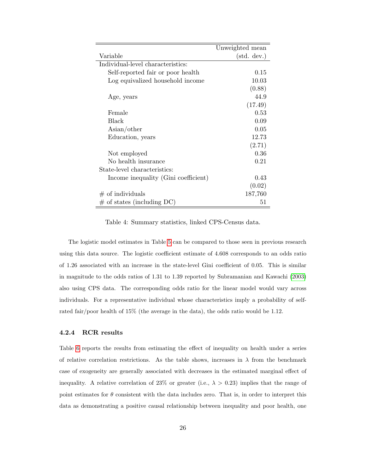|                                      | Unweighted mean      |
|--------------------------------------|----------------------|
| Variable                             | $(\text{std. dev.})$ |
| Individual-level characteristics:    |                      |
| Self-reported fair or poor health    | 0.15                 |
| Log equivalized household income     | 10.03                |
|                                      | (0.88)               |
| Age, years                           | 44.9                 |
|                                      | (17.49)              |
| Female                               | 0.53                 |
| Black                                | 0.09                 |
| $\text{Asian/other}$                 | 0.05                 |
| Education, years                     | 12.73                |
|                                      | (2.71)               |
| Not employed                         | 0.36                 |
| No health insurance                  | 0.21                 |
| State-level characteristics:         |                      |
| Income inequality (Gini coefficient) | 0.43                 |
|                                      | (0.02)               |
| $#$ of individuals                   | 187,760              |
| $\#$ of states (including DC)        | 51                   |

<span id="page-26-0"></span>Table 4: Summary statistics, linked CPS-Census data.

The logistic model estimates in Table [5](#page-27-0) can be compared to those seen in previous research using this data source. The logistic coefficient estimate of 4.608 corresponds to an odds ratio of 1.26 associated with an increase in the state-level Gini coefficient of 0.05. This is similar in magnitude to the odds ratios of 1.31 to 1.39 reported by Subramanian and Kawachi [\(2003\)](#page-31-0) also using CPS data. The corresponding odds ratio for the linear model would vary across individuals. For a representative individual whose characteristics imply a probability of selfrated fair/poor health of 15% (the average in the data), the odds ratio would be 1.12.

#### 4.2.4 RCR results

Table [6](#page-28-0) reports the results from estimating the effect of inequality on health under a series of relative correlation restrictions. As the table shows, increases in  $\lambda$  from the benchmark case of exogeneity are generally associated with decreases in the estimated marginal effect of inequality. A relative correlation of 23% or greater (i.e.,  $\lambda > 0.23$ ) implies that the range of point estimates for  $\theta$  consistent with the data includes zero. That is, in order to interpret this data as demonstrating a positive causal relationship between inequality and poor health, one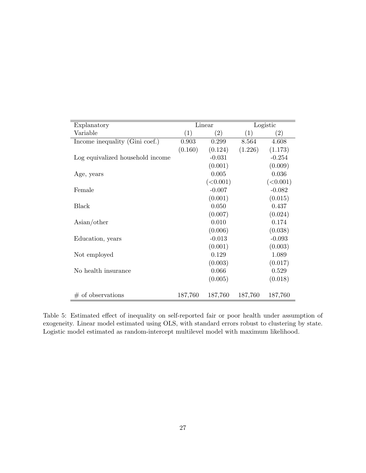| Explanatory                      |         | Linear            |         | Logistic          |
|----------------------------------|---------|-------------------|---------|-------------------|
| Variable                         | (1)     | $\left( 2\right)$ | (1)     | $\left( 2\right)$ |
| Income inequality (Gini coef.)   | 0.903   | 0.299             | 8.564   | 4.608             |
|                                  | (0.160) | (0.124)           | (1.226) | (1.173)           |
| Log equivalized household income |         | $-0.031$          |         | $-0.254$          |
|                                  |         | (0.001)           |         | (0.009)           |
| Age, years                       |         | 0.005             |         | 0.036             |
|                                  |         | (<0.001)          |         | (<0.001)          |
| Female                           |         | $-0.007$          |         | $-0.082$          |
|                                  |         | (0.001)           |         | (0.015)           |
| Black                            |         | 0.050             |         | 0.437             |
|                                  |         | (0.007)           |         | (0.024)           |
| $\text{Asian/other}$             |         | 0.010             |         | 0.174             |
|                                  |         | (0.006)           |         | (0.038)           |
| Education, years                 |         | $-0.013$          |         | $-0.093$          |
|                                  |         | (0.001)           |         | (0.003)           |
| Not employed                     |         | 0.129             |         | 1.089             |
|                                  |         | (0.003)           |         | (0.017)           |
| No health insurance              |         | 0.066             |         | 0.529             |
|                                  |         | (0.005)           |         | (0.018)           |
|                                  |         |                   |         |                   |
| $#$ of observations              | 187,760 | 187,760           | 187,760 | 187,760           |

<span id="page-27-0"></span>Table 5: Estimated effect of inequality on self-reported fair or poor health under assumption of exogeneity. Linear model estimated using OLS, with standard errors robust to clustering by state. Logistic model estimated as random-intercept multilevel model with maximum likelihood.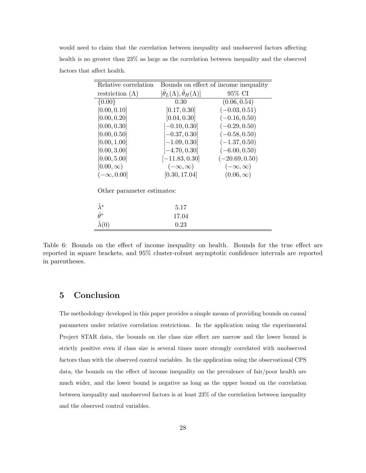would need to claim that the correlation between inequality and unobserved factors affecting health is no greater than 23% as large as the correlation between inequality and the observed factors that affect health.

| Relative correlation       |                                                      | Bounds on effect of income inequality |
|----------------------------|------------------------------------------------------|---------------------------------------|
| restriction $(\Lambda)$    | $[\hat{\theta}_L(\Lambda), \hat{\theta}_H(\Lambda)]$ | 95% CI                                |
| ${0.00}$                   | 0.30                                                 | (0.06, 0.54)                          |
| [0.00, 0.10]               | [0.17, 0.30]                                         | $(-0.03, 0.51)$                       |
| [0.00, 0.20]               | [0.04, 0.30]                                         | $(-0.16, 0.50)$                       |
| [0.00, 0.30]               | $[-0.10, 0.30]$                                      | $(-0.29, 0.50)$                       |
| [0.00, 0.50]               | $[-0.37, 0.30]$                                      | $(-0.58, 0.50)$                       |
| [0.00, 1.00]               | $[-1.09, 0.30]$                                      | $(-1.37, 0.50)$                       |
| [0.00, 3.00]               | $[-4.70, 0.30]$                                      | $(-6.00, 0.50)$                       |
| [0.00, 5.00]               | $[-11.83, 0.30]$                                     | $(-20.69, 0.50)$                      |
| $[0.00,\infty)$            | $(-\infty,\infty)$                                   | $(-\infty,\infty)$                    |
| $(-\infty, 0.00]$          | [0.30, 17.04]                                        | $(0.06,\infty)$                       |
| Other parameter estimates: |                                                      |                                       |
| $\tilde{\lambda}^*$        | 5.17                                                 |                                       |
| $\hat{\theta}^*$           | 17.04                                                |                                       |
|                            | 0.23                                                 |                                       |

<span id="page-28-0"></span>Table 6: Bounds on the effect of income inequality on health. Bounds for the true effect are reported in square brackets, and 95% cluster-robust asymptotic confidence intervals are reported in parentheses.

## 5 Conclusion

The methodology developed in this paper provides a simple means of providing bounds on causal parameters under relative correlation restrictions. In the application using the experimental Project STAR data, the bounds on the class size effect are narrow and the lower bound is strictly positive even if class size is several times more strongly correlated with unobserved factors than with the observed control variables. In the application using the observational CPS data, the bounds on the effect of income inequality on the prevalence of fair/poor health are much wider, and the lower bound is negative as long as the upper bound on the correlation between inequality and unobserved factors is at least 23% of the correlation between inequality and the observed control variables.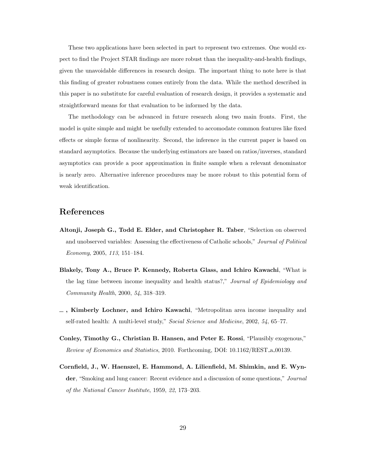These two applications have been selected in part to represent two extremes. One would expect to find the Project STAR findings are more robust than the inequality-and-health findings, given the unavoidable differences in research design. The important thing to note here is that this finding of greater robustness comes entirely from the data. While the method described in this paper is no substitute for careful evaluation of research design, it provides a systematic and straightforward means for that evaluation to be informed by the data.

The methodology can be advanced in future research along two main fronts. First, the model is quite simple and might be usefully extended to accomodate common features like fixed effects or simple forms of nonlinearity. Second, the inference in the current paper is based on standard asymptotics. Because the underlying estimators are based on ratios/inverses, standard asymptotics can provide a poor approximation in finite sample when a relevant denominator is nearly zero. Alternative inference procedures may be more robust to this potential form of weak identification.

## References

- <span id="page-29-1"></span>Altonji, Joseph G., Todd E. Elder, and Christopher R. Taber, "Selection on observed and unobserved variables: Assessing the effectiveness of Catholic schools," Journal of Political Economy, 2005, 113, 151–184.
- <span id="page-29-3"></span>Blakely, Tony A., Bruce P. Kennedy, Roberta Glass, and Ichiro Kawachi, "What is the lag time between income inequality and health status?," Journal of Epidemiology and Community Health, 2000, 54, 318–319.
- <span id="page-29-4"></span>, Kimberly Lochner, and Ichiro Kawachi, "Metropolitan area income inequality and self-rated health: A multi-level study," Social Science and Medicine, 2002, 54, 65–77.
- <span id="page-29-2"></span>Conley, Timothy G., Christian B. Hansen, and Peter E. Rossi, "Plausibly exogenous," Review of Economics and Statistics, 2010. Forthcoming, DOI: 10.1162/REST a 00139.
- <span id="page-29-0"></span>Cornfield, J., W. Haenszel, E. Hammond, A. Lilienfield, M. Shimkin, and E. Wynder, "Smoking and lung cancer: Recent evidence and a discussion of some questions," Journal of the National Cancer Institute, 1959, 22, 173–203.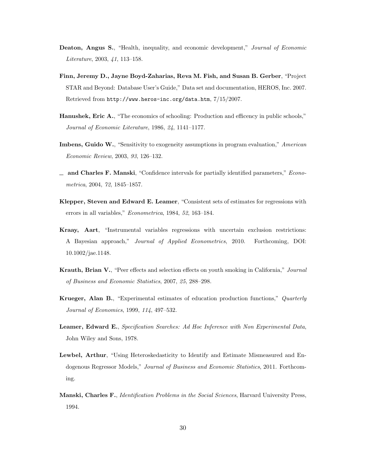- <span id="page-30-11"></span>Deaton, Angus S., "Health, inequality, and economic development," Journal of Economic Literature, 2003, 41, 113–158.
- <span id="page-30-10"></span>Finn, Jeremy D., Jayne Boyd-Zaharias, Reva M. Fish, and Susan B. Gerber, "Project STAR and Beyond: Database User's Guide," Data set and documentation, HEROS, Inc. 2007. Retrieved from http://www.heros-inc.org/data.htm, 7/15/2007.
- <span id="page-30-9"></span>Hanushek, Eric A., "The economics of schooling: Production and efficency in public schools," Journal of Economic Literature, 1986, 24, 1141–1177.
- <span id="page-30-4"></span>Imbens, Guido W., "Sensitivity to exogeneity assumptions in program evaluation," American Economic Review, 2003, 93, 126–132.
- <span id="page-30-8"></span> $\Box$  and Charles F. Manski, "Confidence intervals for partially identified parameters," *Econo*metrica, 2004, 72, 1845–1857.
- <span id="page-30-2"></span>Klepper, Steven and Edward E. Leamer, "Consistent sets of estimates for regressions with errors in all variables," Econometrica, 1984, 52, 163–184.
- <span id="page-30-7"></span>Kraay, Aart, "Instrumental variables regressions with uncertain exclusion restrictions: A Bayesian approach," Journal of Applied Econometrics, 2010. Forthcoming, DOI: 10.1002/jae.1148.
- <span id="page-30-5"></span>Krauth, Brian V., "Peer effects and selection effects on youth smoking in California," Journal of Business and Economic Statistics, 2007, 25, 288–298.
- <span id="page-30-0"></span>Krueger, Alan B., "Experimental estimates of education production functions," Quarterly Journal of Economics, 1999, 114, 497–532.
- <span id="page-30-1"></span>Leamer, Edward E., Specification Searches: Ad Hoc Inference with Non Experimental Data, John Wiley and Sons, 1978.
- <span id="page-30-6"></span>Lewbel, Arthur, "Using Heteroskedasticity to Identify and Estimate Mismeasured and Endogenous Regressor Models," Journal of Business and Economic Statistics, 2011. Forthcoming.
- <span id="page-30-3"></span>Manski, Charles F., *Identification Problems in the Social Sciences*, Harvard University Press, 1994.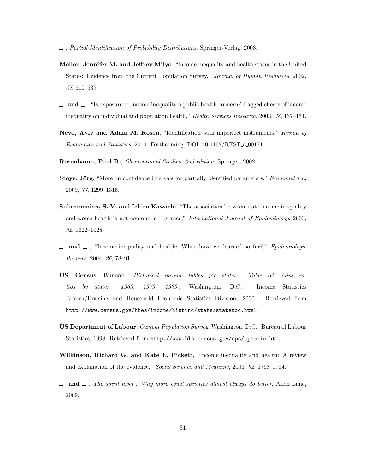- <span id="page-31-1"></span>, Partial Identification of Probability Distributions, Springer-Verlag, 2003.
- <span id="page-31-9"></span>Mellor, Jennifer M. and Jeffrey Milyo, "Income inequality and health status in the United States: Evidence from the Current Population Survey," Journal of Human Resources, 2002, 37, 510–539.
- <span id="page-31-10"></span> $\Box$  and  $\Box$ , "Is exposure to income inequality a public health concern? Lagged effects of income inequality on individual and population health," Health Services Research, 2003, 38, 137–151.
- <span id="page-31-3"></span>Nevo, Aviv and Adam M. Rosen, "Identification with imperfect instruments," Review of Economics and Statistics, 2010. Forthcoming, DOI: 10.1162/REST a 00171.
- <span id="page-31-2"></span>Rosenbaum, Paul R., Observational Studies, 2nd edition, Springer, 2002.
- <span id="page-31-4"></span>Stoye, Jörg, "More on confidence intervals for partially identified parameters," *Econometrica*, 2009, 77, 1299–1315.
- <span id="page-31-0"></span>Subramanian, S. V. and Ichiro Kawachi, "The association between state income inequality and worse health is not confounded by race," International Journal of Epidemiology, 2003, 32, 1022–1028.
- <span id="page-31-5"></span> $\Box$  and  $\Box$ , "Income inequality and health: What have we learned so far?," Epidemiologic Reviews, 2004, 26, 78–91.
- <span id="page-31-11"></span>US Census Bureau, Historical income tables for states: Table S4. Gini ratios by state: 1969, 1979, 1989., Washington, D.C.: Income Statistics Branch/Housing and Household Economic Statistics Division, 2000. Retrieved from http://www.census.gov/hhes/income/histinc/state/statetoc.html.
- <span id="page-31-8"></span>US Department of Labour, Current Population Survey, Washington, D.C.: Bureau of Labour Statistics, 1998. Retrieved from http://www.bls.census.gov/cps/cpsmain.htm.
- <span id="page-31-6"></span>Wilkinson, Richard G. and Kate E. Pickett, "Income inequality and health: A review and explanation of the evidence," Social Science and Medicine, 2006, 62, 1768–1784.
- <span id="page-31-7"></span> $\Box$  and  $\Box$ , The spirit level : Why more equal societies almost always do better, Allen Lane, 2009.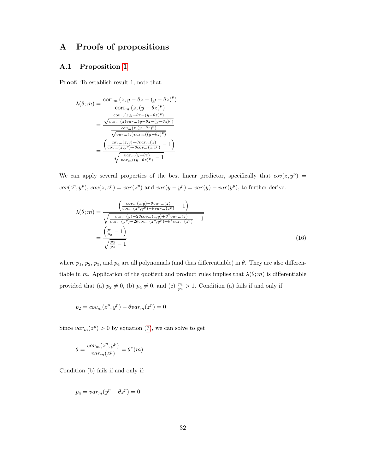## A Proofs of propositions

#### <span id="page-32-0"></span>A.1 Proposition [1](#page-10-2)

Proof: To establish result 1, note that:

$$
\lambda(\theta; m) = \frac{\text{corr}_{m}(z, y - \theta z - (y - \theta z)^{p})}{\text{corr}_{m}(z, (y - \theta z)^{p})}
$$

$$
= \frac{\frac{cov_{m}(z, y - \theta z - (y - \theta z)^{p})}{\sqrt{var_{m}(z)var_{m}(y - \theta z - (y - \theta z)^{p})}}}{\frac{cov_{m}(z, (y - \theta z)^{p})}{\sqrt{var_{m}(z)var_{m}((y - \theta z)^{p})}}}
$$

$$
= \frac{\left(\frac{cov_{m}(z, y) - \theta var_{m}(z)}{cov_{m}(z, y^{p}) - \theta cov_{m}(z, z^{p})} - 1\right)}{\sqrt{\frac{var_{m}(y - \theta z)}{var_{m}((y - \theta z)^{p})} - 1}}
$$

We can apply several properties of the best linear predictor, specifically that  $cov(z, y^p)$  =  $cov(z^p, y^p), cov(z, z^p) = var(z^p)$  and  $var(y - y^p) = var(y) - var(y^p)$ , to further derive:

$$
\lambda(\theta; m) = \frac{\left(\frac{cov_m(z,y) - \theta var_m(z)}{cov_m(z^p, y^p) - \theta var_m(z^p)} - 1\right)}{\sqrt{\frac{var_m(y) - 2\theta cov_m(z,y) + \theta^2 var_m(z)}{var_m(y^p) - 2\theta cov_m(z^p, y^p) + \theta^2 var_m(z^p)}} - 1}
$$
\n
$$
= \frac{\left(\frac{p_1}{p_2} - 1\right)}{\sqrt{\frac{p_3}{p_4} - 1}}
$$
\n(16)

where  $p_1, p_2, p_3$ , and  $p_4$  are all polynomials (and thus differentiable) in  $\theta$ . They are also differentiable in m. Application of the quotient and product rules implies that  $\lambda(\theta; m)$  is differentiable provided that (a)  $p_2 \neq 0$ , (b)  $p_4 \neq 0$ , and (c)  $\frac{p_3}{p_4} > 1$ . Condition (a) fails if and only if:

$$
p_2 = cov_m(z^p, y^p) - \theta var_m(z^p) = 0
$$

Since  $var_m(z^p) > 0$  by equation [\(7\)](#page-9-1), we can solve to get

$$
\theta = \frac{cov_m(z^p, y^p)}{var_m(z^p)} = \theta^*(m)
$$

Condition (b) fails if and only if:

$$
p_4 = var_m(y^p - \theta z^p) = 0
$$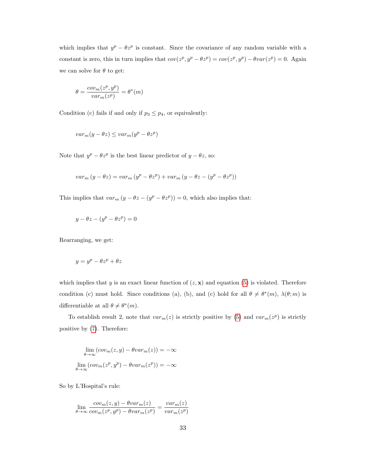which implies that  $y^p - \theta z^p$  is constant. Since the covariance of any random variable with a constant is zero, this in turn implies that  $cov(z^p, y^p - \theta z^p) = cov(z^p, y^p) - \theta var(z^p) = 0$ . Again we can solve for  $\theta$  to get:

$$
\theta = \frac{cov_m(z^p, y^p)}{var_m(z^p)} = \theta^*(m)
$$

Condition (c) fails if and only if  $p_3 \leq p_4$ , or equivalently:

$$
var_m(y - \theta z) \leq var_m(y^p - \theta z^p)
$$

Note that  $y^p - \theta z^p$  is the best linear predictor of  $y - \theta z$ , so:

$$
var_m(y - \theta z) = var_m(y^p - \theta z^p) + var_m(y - \theta z - (y^p - \theta z^p))
$$

This implies that  $var_m (y - \theta z - (y^p - \theta z^p)) = 0$ , which also implies that:

$$
y - \theta z - (y^p - \theta z^p) = 0
$$

Rearranging, we get:

$$
y = y^p - \theta z^p + \theta z
$$

which implies that y is an exact linear function of  $(z, \mathbf{x})$  and equation [\(5\)](#page-9-0) is violated. Therefore condition (c) must hold. Since conditions (a), (b), and (c) hold for all  $\theta \neq \theta^*(m)$ ,  $\lambda(\theta; m)$  is differentiable at all  $\theta \neq \theta^*(m)$ .

To establish result 2, note that  $var_m(z)$  is strictly positive by [\(5\)](#page-9-0) and  $var_m(z^p)$  is strictly positive by [\(7\)](#page-9-1). Therefore:

$$
\lim_{\theta \to \infty} (cov_m(z, y) - \theta var_m(z)) = -\infty
$$

$$
\lim_{\theta \to \infty} (cov_m(z^p, y^p) - \theta var_m(z^p)) = -\infty
$$

So by L'Hospital's rule:

$$
\lim_{\theta \to \infty} \frac{cov_m(z, y) - \theta var_m(z)}{cov_m(z^p, y^p) - \theta var_m(z^p)} = \frac{var_m(z)}{var_m(z^p)}
$$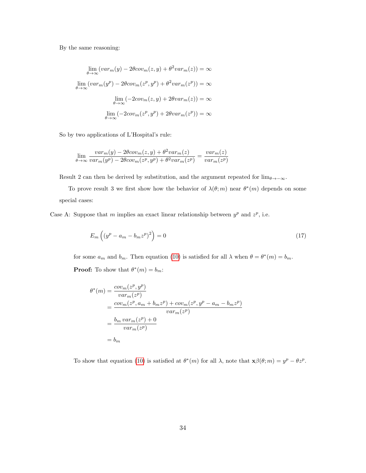By the same reasoning:

$$
\lim_{\theta \to \infty} (var_m(y) - 2\theta cov_m(z, y) + \theta^2 var_m(z)) = \infty
$$

$$
\lim_{\theta \to \infty} (var_m(y^p) - 2\theta cov_m(z^p, y^p) + \theta^2 var_m(z^p)) = \infty
$$

$$
\lim_{\theta \to \infty} (-2cov_m(z, y) + 2\theta var_m(z)) = \infty
$$

$$
\lim_{\theta \to \infty} (-2cov_m(z^p, y^p) + 2\theta var_m(z^p)) = \infty
$$

So by two applications of L'Hospital's rule:

$$
\lim_{\theta \to \infty} \frac{var_m(y) - 2\theta cov_m(z, y) + \theta^2 var_m(z)}{var_m(y^p) - 2\theta cov_m(z^p, y^p) + \theta^2 var_m(z^p)} = \frac{var_m(z)}{var_m(z^p)}
$$

Result 2 can then be derived by substitution, and the argument repeated for  $\lim_{\theta \to -\infty}$ .

To prove result 3 we first show how the behavior of  $\lambda(\theta; m)$  near  $\theta^*(m)$  depends on some special cases:

Case A: Suppose that m implies an exact linear relationship between  $y^p$  and  $z^p$ , i.e.

<span id="page-34-0"></span>
$$
E_m\left(\left(y^p - a_m - b_m z^p\right)^2\right) = 0\tag{17}
$$

for some  $a_m$  and  $b_m$ . Then equation [\(10\)](#page-10-3) is satisfied for all  $\lambda$  when  $\theta = \theta^*(m) = b_m$ . **Proof:** To show that  $\theta^*(m) = b_m$ :

$$
\theta^*(m) = \frac{cov_m(z^p, y^p)}{var_m(z^p)}
$$
  
= 
$$
\frac{cov_m(z^p, a_m + b_m z^p) + cov_m(z^p, y^p - a_m - b_m z^p)}{var_m(z^p)}
$$
  
= 
$$
\frac{b_m var_m(z^p) + 0}{var_m(z^p)}
$$
  
= 
$$
b_m
$$

To show that equation [\(10\)](#page-10-3) is satisfied at  $\theta^*(m)$  for all  $\lambda$ , note that  $\mathbf{x}\beta(\theta; m) = y^p - \theta z^p$ .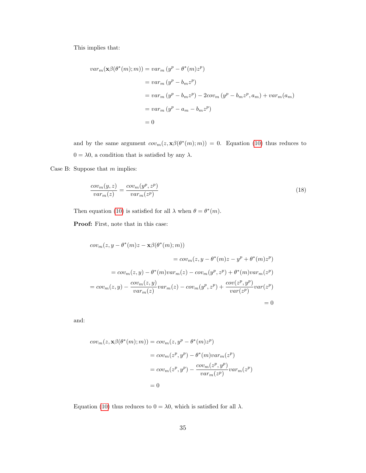This implies that:

$$
var_m(\mathbf{x}\beta(\theta^*(m);m)) = var_m (y^p - \theta^*(m)z^p)
$$
  
=  $var_m (y^p - b_m z^p)$   
=  $var_m (y^p - b_m z^p) - 2cov_m (y^p - b_m z^p, a_m) + var_m(a_m)$   
=  $var_m (y^p - a_m - b_m z^p)$   
= 0

and by the same argument  $cov_m(z, \mathbf{x}\beta(\theta^*(m); m)) = 0$ . Equation [\(10\)](#page-10-3) thus reduces to  $0=\lambda0,$  a condition that is satisfied by any  $\lambda.$ 

Case B: Suppose that  $m$  implies:

<span id="page-35-0"></span>
$$
\frac{cov_m(y,z)}{var_m(z)} = \frac{cov_m(y^p, z^p)}{var_m(z^p)}
$$
\n(18)

Then equation [\(10\)](#page-10-3) is satisfied for all  $\lambda$  when  $\theta = \theta^*(m)$ .

Proof: First, note that in this case:

$$
cov_m(z, y - \theta^*(m)z - \mathbf{x}\beta(\theta^*(m); m))
$$
  

$$
= cov_m(z, y - \theta^*(m)z - y^p + \theta^*(m)z^p)
$$
  

$$
= cov_m(z, y) - \theta^*(m)var_m(z) - cov_m(y^p, z^p) + \theta^*(m)var_m(z^p)
$$
  

$$
= cov_m(z, y) - \frac{cov_m(z, y)}{var_m(z)}var_m(z) - cov_m(y^p, z^p) + \frac{cov(z^p, y^p)}{var(z^p)}var(z^p)
$$
  

$$
= 0
$$

and:

$$
cov_m(z, \mathbf{x}\beta(\theta^*(m); m)) = cov_m(z, y^p - \theta^*(m)z^p)
$$
  
=  $cov_m(z^p, y^p) - \theta^*(m)var_m(z^p)$   
=  $cov_m(z^p, y^p) - \frac{cov_m(z^p, y^p)}{var_m(z^p)}var_m(z^p)$   
= 0

Equation [\(10\)](#page-10-3) thus reduces to  $0 = \lambda 0$ , which is satisfied for all  $\lambda$ .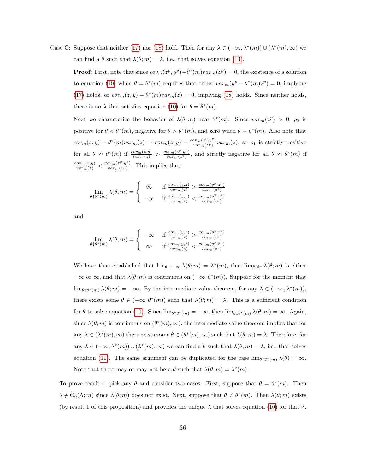Case C: Suppose that neither [\(17\)](#page-34-0) nor [\(18\)](#page-35-0) hold. Then for any  $\lambda \in (-\infty, \lambda^*(m)) \cup (\lambda^*(m), \infty)$  we can find a  $\theta$  such that  $\lambda(\theta; m) = \lambda$ , i.e., that solves equation [\(10\)](#page-10-3).

**Proof:** First, note that since  $cov_m(z^p, y^p) - \theta^*(m)var_m(z^p) = 0$ , the existence of a solution to equation [\(10\)](#page-10-3) when  $\theta = \theta^*(m)$  requires that either  $var_m(y^p - \theta^*(m)z^p) = 0$ , implying [\(17\)](#page-34-0) holds, or  $cov_m(z, y) - \theta^*(m)var_m(z) = 0$ , implying [\(18\)](#page-35-0) holds. Since neither holds, there is no  $\lambda$  that satisfies equation [\(10\)](#page-10-3) for  $\theta = \theta^*(m)$ .

Next we characterize the behavior of  $\lambda(\theta; m)$  near  $\theta^*(m)$ . Since  $var_m(z^p) > 0$ ,  $p_2$  is positive for  $\theta < \theta^*(m)$ , negative for  $\theta > \theta^*(m)$ , and zero when  $\theta = \theta^*(m)$ . Also note that  $cov_m(z, y) - \theta^*(m)var_m(z) = cov_m(z, y) - \frac{cov_m(z^p, y^p)}{var_m(z^p)}$  $\frac{\partial v_m(z^r, y^r)}{\partial u_{m}(z^p)}var_m(z)$ , so  $p_1$  is strictly positive for all  $\theta \approx \theta^*(m)$  if  $\frac{cov_m(z,y)}{var_m(z)} > \frac{cov_m(z^p,y^p)}{var_m(z^p)}$  $\frac{\partial v_m(z^{\nu}, y^{\nu})}{\partial u_{m}(z^{\nu})}$ , and strictly negative for all  $\theta \approx \theta^*(m)$  if  $\frac{cov_m(z,y)}{var_m(z)} < \frac{cov_m(z^p,y^p)}{var_m(z^p)}$  $\frac{\partial v_m(z^r, y^r)}{\partial u_{m}(z^p)}$ . This implies that:

$$
\lim_{\theta \uparrow \theta^*(m)} \lambda(\theta; m) = \begin{cases} \infty & \text{if } \frac{cov_m(y, z)}{var_m(z)} > \frac{cov_m(y^p, z^p)}{var_m(z^p)} \\ -\infty & \text{if } \frac{cov_m(y, z)}{var_m(z)} < \frac{cov_m(y^p, z^p)}{var_m(z^p)} \end{cases}
$$

and

$$
\lim_{\theta \downarrow \theta^*(m)} \lambda(\theta; m) = \begin{cases}\n-\infty & \text{if } \frac{cov_m(y, z)}{var_m(z)} > \frac{cov_m(y^p, z^p)}{var_m(z^p)} \\
\infty & \text{if } \frac{cov_m(y, z)}{var_m(z)} < \frac{cov_m(y^p, z^p)}{var_m(z^p)}\n\end{cases}
$$

We have thus established that  $\lim_{\theta \to -\infty} \lambda(\theta; m) = \lambda^*(m)$ , that  $\lim_{\theta \uparrow \theta^*} \lambda(\theta; m)$  is either  $-\infty$  or  $\infty$ , and that  $\lambda(\theta; m)$  is continuous on  $(-\infty, \theta^*(m))$ . Suppose for the moment that  $\lim_{\theta \uparrow \theta^*(m)} \lambda(\theta; m) = -\infty$ . By the intermediate value theorem, for any  $\lambda \in (-\infty, \lambda^*(m)),$ there exists some  $\theta \in (-\infty, \theta^*(m))$  such that  $\lambda(\theta; m) = \lambda$ . This is a sufficient condition for  $\theta$  to solve equation [\(10\)](#page-10-3). Since  $\lim_{\theta \uparrow \theta^*(m)} = -\infty$ , then  $\lim_{\theta \downarrow \theta^*(m)} \lambda(\theta; m) = \infty$ . Again, since  $\lambda(\theta; m)$  is continuous on  $(\theta^*(m), \infty)$ , the intermediate value theorem implies that for any  $\lambda \in (\lambda^*(m), \infty)$  there exists some  $\theta \in (\theta^*(m), \infty)$  such that  $\lambda(\theta; m) = \lambda$ . Therefore, for any  $\lambda \in (-\infty, \lambda^*(m)) \cup (\lambda^*(m), \infty)$  we can find a  $\theta$  such that  $\lambda(\theta; m) = \lambda$ , i.e., that solves equation [\(10\)](#page-10-3). The same argument can be duplicated for the case  $\lim_{\theta \uparrow \theta^*(m)} \lambda(\theta) = \infty$ . Note that there may or may not be a  $\theta$  such that  $\lambda(\theta; m) = \lambda^*(m)$ .

To prove result 4, pick any  $\theta$  and consider two cases. First, suppose that  $\theta = \theta^*(m)$ . Then  $\theta \notin \tilde{\Theta}_0(\Lambda; m)$  since  $\lambda(\theta; m)$  does not exist. Next, suppose that  $\theta \neq \theta^*(m)$ . Then  $\lambda(\theta; m)$  exists (by result 1 of this proposition) and provides the unique  $\lambda$  that solves equation [\(10\)](#page-10-3) for that  $\lambda$ .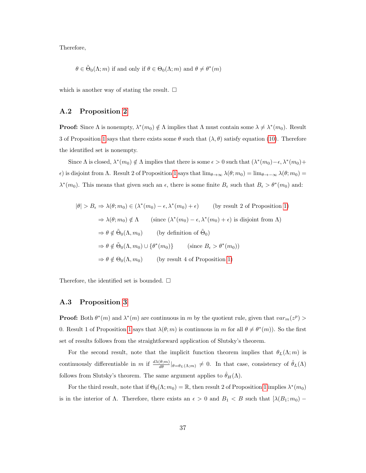Therefore,

$$
\theta \in \tilde{\Theta}_0(\Lambda; m)
$$
 if and only if  $\theta \in \Theta_0(\Lambda; m)$  and  $\theta \neq \theta^*(m)$ 

which is another way of stating the result.  $\square$ 

#### <span id="page-37-0"></span>A.2 Proposition [2](#page-12-0)

**Proof:** Since  $\Lambda$  is nonempty,  $\lambda^*(m_0) \notin \Lambda$  implies that  $\Lambda$  must contain some  $\lambda \neq \lambda^*(m_0)$ . Result 3 of Proposition [1](#page-10-2) says that there exists some  $\theta$  such that  $(\lambda, \theta)$  satisfy equation [\(10\)](#page-10-3). Therefore the identified set is nonempty.

Since  $\Lambda$  is closed,  $\lambda^*(m_0) \notin \Lambda$  implies that there is some  $\epsilon > 0$  such that  $(\lambda^*(m_0) - \epsilon, \lambda^*(m_0) + \epsilon)$  $\epsilon$ ) is disjoint from  $\Lambda$ . Result 2 of Proposition [1](#page-10-2) says that  $\lim_{\theta\to\infty}\lambda(\theta;m_0)=\lim_{\theta\to-\infty}\lambda(\theta;m_0)=0$  $\lambda^*(m_0)$ . This means that given such an  $\epsilon$ , there is some finite  $B_{\epsilon}$  such that  $B_{\epsilon} > \theta^*(m_0)$  and:

$$
|\theta| > B_{\epsilon} \Rightarrow \lambda(\theta; m_0) \in (\lambda^*(m_0) - \epsilon, \lambda^*(m_0) + \epsilon) \qquad \text{(by result 2 of Proposition 1)}
$$

$$
\Rightarrow \lambda(\theta; m_0) \notin \Lambda \qquad \text{(since } (\lambda^*(m_0) - \epsilon, \lambda^*(m_0) + \epsilon) \text{ is disjoint from } \Lambda)
$$

$$
\Rightarrow \theta \notin \tilde{\Theta}_0(\Lambda, m_0) \qquad \text{(by definition of } \tilde{\Theta}_0)
$$

$$
\Rightarrow \theta \notin \tilde{\Theta}_0(\Lambda, m_0) \cup \{\theta^*(m_0)\} \qquad \text{(since } B_{\epsilon} > \theta^*(m_0))
$$

$$
\Rightarrow \theta \notin \Theta_0(\Lambda, m_0) \qquad \text{(by result 4 of Proposition 1)}
$$

Therefore, the identified set is bounded.  $\square$ 

#### <span id="page-37-1"></span>A.3 Proposition [3](#page-13-0)

**Proof:** Both  $\theta^*(m)$  and  $\lambda^*(m)$  are continuous in m by the quotient rule, given that  $var_m(z^p)$ 0. Result [1](#page-10-2) of Proposition 1 says that  $\lambda(\theta; m)$  is continuous in m for all  $\theta \neq \theta^*(m)$ ). So the first set of results follows from the straightforward application of Slutsky's theorem.

For the second result, note that the implicit function theorem implies that  $\theta_L(\Lambda; m)$  is continuously differentiable in m if  $\frac{d\lambda(\theta;m)}{d\theta}|_{\theta=\theta_L(\Lambda;m)}\neq 0$ . In that case, consistency of  $\hat{\theta}_L(\Lambda)$ follows from Slutsky's theorem. The same argument applies to  $\hat{\theta}_H(\Lambda)$ .

For the third result, note that if  $\Theta_0(\Lambda; m_0) = \mathbb{R}$ , then result 2 of Proposition [1](#page-10-2) implies  $\lambda^*(m_0)$ is in the interior of  $\Lambda$ . Therefore, there exists an  $\epsilon > 0$  and  $B_1 < B$  such that  $\left[ \lambda(B_1; m_0) - \lambda(B_2; m_0) \right]$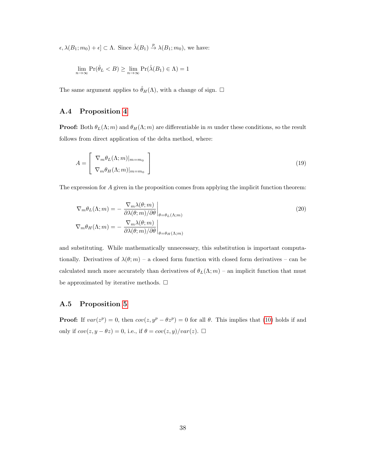$\epsilon, \lambda(B_1; m_0) + \epsilon] \subset \Lambda$ . Since  $\hat{\lambda}(B_1) \stackrel{p}{\to} \lambda(B_1; m_0)$ , we have:

$$
\lim_{n \to \infty} \Pr(\hat{\theta}_L < B) \ge \lim_{n \to \infty} \Pr(\hat{\lambda}(B_1) \in \Lambda) = 1
$$

The same argument applies to  $\hat{\theta}_H(\Lambda)$ , with a change of sign.  $\Box$ 

#### <span id="page-38-0"></span>A.4 Proposition [4](#page-14-0)

**Proof:** Both  $\theta_L(\Lambda; m)$  and  $\theta_H(\Lambda; m)$  are differentiable in m under these conditions, so the result follows from direct application of the delta method, where:

$$
A = \begin{bmatrix} \nabla_m \theta_L(\Lambda; m)|_{m=m_0} \\ \nabla_m \theta_H(\Lambda; m)|_{m=m_0} \end{bmatrix}
$$
 (19)

The expression for A given in the proposition comes from applying the implicit function theorem:

$$
\nabla_m \theta_L(\Lambda; m) = - \left. \frac{\nabla_m \lambda(\theta; m)}{\partial \lambda(\theta; m) / \partial \theta} \right|_{\theta = \theta_L(\Lambda; m)}
$$
\n
$$
\nabla_m \theta_H(\Lambda; m) = - \left. \frac{\nabla_m \lambda(\theta; m)}{\partial \lambda(\theta; m) / \partial \theta} \right|_{\theta = \theta_H(\Lambda; m)}
$$
\n(20)

and substituting. While mathematically unnecessary, this substitution is important computationally. Derivatives of  $\lambda(\theta; m)$  – a closed form function with closed form derivatives – can be calculated much more accurately than derivatives of  $\theta_L(\Lambda; m)$  – an implicit function that must be approximated by iterative methods.  $\Box$ 

#### <span id="page-38-1"></span>A.5 Proposition [5](#page-16-0)

**Proof:** If  $var(z^p) = 0$ , then  $cov(z, y^p - \theta z^p) = 0$  for all  $\theta$ . This implies that [\(10\)](#page-10-3) holds if and only if  $cov(z, y - \theta z) = 0$ , i.e., if  $\theta = cov(z, y)/var(z)$ .  $\Box$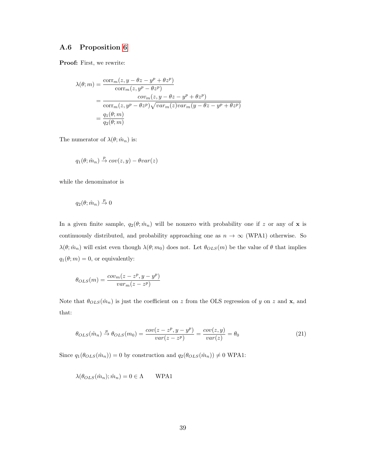#### <span id="page-39-0"></span>A.6 Proposition [6](#page-16-1)

Proof: First, we rewrite:

$$
\lambda(\theta; m) = \frac{\text{corr}_{m}(z, y - \theta z - y^{p} + \theta z^{p})}{\text{corr}_{m}(z, y^{p} - \theta z^{p})}
$$
  
= 
$$
\frac{cov_{m}(z, y - \theta z - y^{p} + \theta z^{p})}{\text{corr}_{m}(z, y^{p} - \theta z^{p})\sqrt{var_{m}(z)var_{m}(y - \theta z - y^{p} + \theta z^{p})}}
$$
  
= 
$$
\frac{q_{1}(\theta; m)}{q_{2}(\theta; m)}
$$

The numerator of  $\lambda(\theta; \hat{m}_n)$  is:

$$
q_1(\theta; \hat{m}_n) \stackrel{p}{\rightarrow} cov(z, y) - \theta var(z)
$$

while the denominator is

$$
q_2(\theta; \hat{m}_n) \stackrel{p}{\to} 0
$$

In a given finite sample,  $q_2(\theta; \hat{m}_n)$  will be nonzero with probability one if z or any of x is continuously distributed, and probability approaching one as  $n \to \infty$  (WPA1) otherwise. So  $\lambda(\theta; \hat{m}_n)$  will exist even though  $\lambda(\theta; m_0)$  does not. Let  $\theta_{OLS}(m)$  be the value of  $\theta$  that implies  $q_1(\theta; m) = 0$ , or equivalently:

$$
\theta_{OLS}(m) = \frac{cov_m(z - z^p, y - y^p)}{var_m(z - z^p)}
$$

<span id="page-39-1"></span>Note that  $\theta_{OLS}(\hat{m}_n)$  is just the coefficient on z from the OLS regression of y on z and **x**, and that:

$$
\theta_{OLS}(\hat{m}_n) \stackrel{p}{\to} \theta_{OLS}(m_0) = \frac{cov(z - z^p, y - y^p)}{var(z - z^p)} = \frac{cov(z, y)}{var(z)} = \theta_0
$$
\n(21)

Since  $q_1(\theta_{OLS}(\hat{m}_n)) = 0$  by construction and  $q_2(\theta_{OLS}(\hat{m}_n)) \neq 0$  WPA1:

$$
\lambda(\theta_{OLS}(\hat{m}_n); \hat{m}_n) = 0 \in \Lambda \quad \text{WPA1}
$$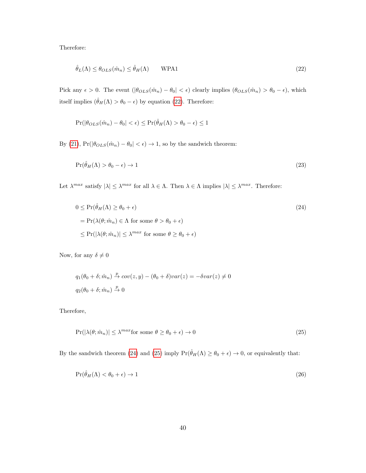Therefore:

<span id="page-40-0"></span>
$$
\hat{\theta}_L(\Lambda) \le \theta_{OLS}(\hat{m}_n) \le \hat{\theta}_H(\Lambda) \qquad \text{WPA1} \tag{22}
$$

Pick any  $\epsilon > 0$ . The event  $(|\theta_{OLS}(\hat{m}_n) - \theta_0| < \epsilon)$  clearly implies  $(\theta_{OLS}(\hat{m}_n) > \theta_0 - \epsilon)$ , which itself implies  $(\hat{\theta}_H(\Lambda)>\theta_0-\epsilon)$  by equation [\(22\)](#page-40-0). Therefore:

<span id="page-40-3"></span>
$$
Pr(|\theta_{OLS}(\hat{m}_n) - \theta_0| < \epsilon) \leq Pr(\hat{\theta}_H(\Lambda) > \theta_0 - \epsilon) \leq 1
$$

By [\(21\)](#page-39-1),  $\Pr(|\theta_{OLS}(\hat{m}_n)-\theta_0|<\epsilon) \rightarrow 1,$  so by the sandwich theorem:

$$
\Pr(\hat{\theta}_H(\Lambda) > \theta_0 - \epsilon) \to 1\tag{23}
$$

Let  $\lambda^{max}$  satisfy  $|\lambda| \leq \lambda^{max}$  for all  $\lambda \in \Lambda$ . Then  $\lambda \in \Lambda$  implies  $|\lambda| \leq \lambda^{max}$ . Therefore:

<span id="page-40-1"></span>
$$
0 \le \Pr(\hat{\theta}_H(\Lambda) \ge \theta_0 + \epsilon)
$$
  
=  $\Pr(\lambda(\theta; \hat{m}_n) \in \Lambda \text{ for some } \theta > \theta_0 + \epsilon)$   
 $\le \Pr(|\lambda(\theta; \hat{m}_n)| \le \lambda^{max} \text{ for some } \theta \ge \theta_0 + \epsilon)$  (24)

Now, for any  $\delta\neq 0$ 

$$
q_1(\theta_0 + \delta; \hat{m}_n) \stackrel{p}{\rightarrow} cov(z, y) - (\theta_0 + \delta)var(z) = -\delta var(z) \neq 0
$$
  

$$
q_2(\theta_0 + \delta; \hat{m}_n) \stackrel{p}{\rightarrow} 0
$$

Therefore,

<span id="page-40-4"></span><span id="page-40-2"></span>
$$
Pr(|\lambda(\theta; \hat{m}_n)| \le \lambda^{max} \text{for some } \theta \ge \theta_0 + \epsilon) \to 0
$$
\n(25)

By the sandwich theorem [\(24\)](#page-40-1) and [\(25\)](#page-40-2) imply  $Pr(\hat{\theta}_H(\Lambda) \ge \theta_0 + \epsilon) \to 0$ , or equivalently that:

$$
\Pr(\hat{\theta}_H(\Lambda) < \theta_0 + \epsilon) \to 1\tag{26}
$$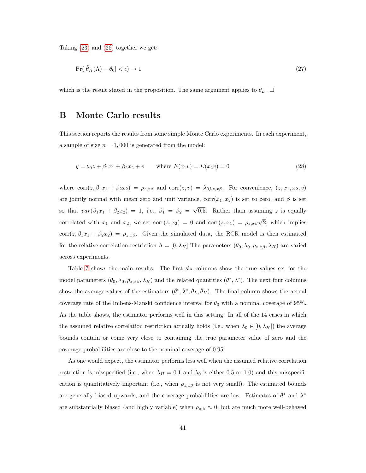Taking [\(23\)](#page-40-3) and [\(26\)](#page-40-4) together we get:

$$
\Pr(|\hat{\theta}_H(\Lambda) - \theta_0| < \epsilon) \to 1\tag{27}
$$

which is the result stated in the proposition. The same argument applies to  $\theta_L$ .  $\Box$ 

## B Monte Carlo results

This section reports the results from some simple Monte Carlo experiments. In each experiment, a sample of size  $n = 1,000$  is generated from the model:

$$
y = \theta_0 z + \beta_1 x_1 + \beta_2 x_2 + v \quad \text{where } E(x_1 v) = E(x_2 v) = 0 \tag{28}
$$

where  $corr(z, \beta_1x_1 + \beta_2x_2) = \rho_{z,x\beta}$  and  $corr(z, v) = \lambda_0\rho_{z,x\beta}$ . For convenience,  $(z, x_1, x_2, v)$ are jointly normal with mean zero and unit variance,  $\text{corr}(x_1, x_2)$  is set to zero, and  $\beta$  is set so that  $var(\beta_1 x_1 + \beta_2 x_2) = 1$ , i.e.,  $\beta_1 = \beta_2 =$ √ 0.5. Rather than assuming  $z$  is equally correlated with  $x_1$  and  $x_2$ , we set  $\text{corr}(z, x_2) = 0$  and  $\text{corr}(z, x_1) = \rho_{z,x\beta}$ √ 2, which implies corr(z,  $\beta_1x_1 + \beta_2x_2$ ) =  $\rho_{z,x\beta}$ . Given the simulated data, the RCR model is then estimated for the relative correlation restriction  $\Lambda = [0, \lambda_H]$  The parameters  $(\theta_0, \lambda_0, \rho_{z,x\beta}, \lambda_H)$  are varied across experiments.

Table [7](#page-42-0) shows the main results. The first six columns show the true values set for the model parameters  $(\theta_0, \lambda_0, \rho_{z,x\beta}, \lambda_H)$  and the related quantities  $(\theta^*, \lambda^*)$ . The next four columns show the average values of the estimators  $(\hat{\theta}^*, \hat{\lambda}^*, \hat{\theta}_L, \hat{\theta}_H)$ . The final column shows the actual coverage rate of the Imbens-Manski confidence interval for  $\theta_0$  with a nominal coverage of 95%. As the table shows, the estimator performs well in this setting. In all of the 14 cases in which the assumed relative correlation restriction actually holds (i.e., when  $\lambda_0 \in [0, \lambda_H]$ ) the average bounds contain or come very close to containing the true parameter value of zero and the coverage probabilities are close to the nominal coverage of 0.95.

As one would expect, the estimator performs less well when the assumed relative correlation restriction is misspecified (i.e., when  $\lambda_H = 0.1$  and  $\lambda_0$  is either 0.5 or 1.0) and this misspecification is quantitatively important (i.e., when  $\rho_{z,x\beta}$  is not very small). The estimated bounds are generally biased upwards, and the coverage probabilities are low. Estimates of  $\theta^*$  and  $\lambda^*$ are substantially biased (and highly variable) when  $\rho_{z,\beta} \approx 0$ , but are much more well-behaved